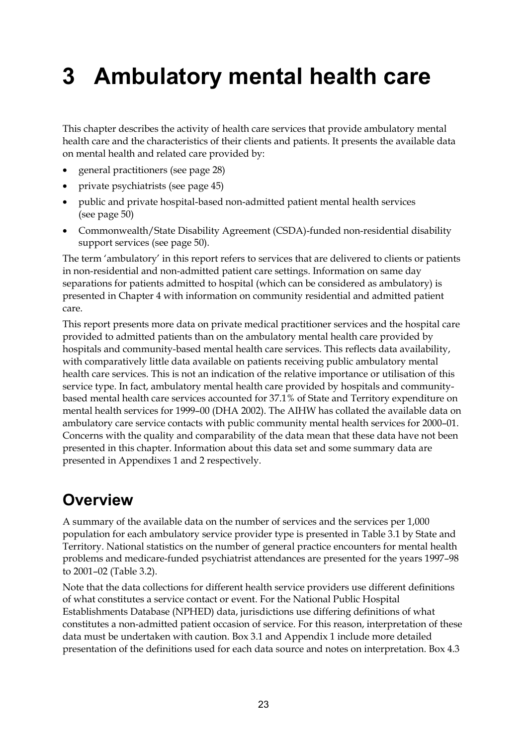# **3 Ambulatory mental health care**

This chapter describes the activity of health care services that provide ambulatory mental health care and the characteristics of their clients and patients. It presents the available data on mental health and related care provided by:

- general practitioners (see page 28)
- private psychiatrists (see page 45)
- public and private hospital-based non-admitted patient mental health services (see page 50)
- Commonwealth/State Disability Agreement (CSDA)-funded non-residential disability support services (see page 50).

The term 'ambulatory' in this report refers to services that are delivered to clients or patients in non-residential and non-admitted patient care settings. Information on same day separations for patients admitted to hospital (which can be considered as ambulatory) is presented in Chapter 4 with information on community residential and admitted patient care.

This report presents more data on private medical practitioner services and the hospital care provided to admitted patients than on the ambulatory mental health care provided by hospitals and community-based mental health care services. This reflects data availability, with comparatively little data available on patients receiving public ambulatory mental health care services. This is not an indication of the relative importance or utilisation of this service type. In fact, ambulatory mental health care provided by hospitals and communitybased mental health care services accounted for 37.1% of State and Territory expenditure on mental health services for 1999–00 (DHA 2002). The AIHW has collated the available data on ambulatory care service contacts with public community mental health services for 2000–01. Concerns with the quality and comparability of the data mean that these data have not been presented in this chapter. Information about this data set and some summary data are presented in Appendixes 1 and 2 respectively.

# **Overview**

A summary of the available data on the number of services and the services per 1,000 population for each ambulatory service provider type is presented in Table 3.1 by State and Territory. National statistics on the number of general practice encounters for mental health problems and medicare-funded psychiatrist attendances are presented for the years 1997–98 to 2001–02 (Table 3.2).

Note that the data collections for different health service providers use different definitions of what constitutes a service contact or event. For the National Public Hospital Establishments Database (NPHED) data, jurisdictions use differing definitions of what constitutes a non-admitted patient occasion of service. For this reason, interpretation of these data must be undertaken with caution. Box 3.1 and Appendix 1 include more detailed presentation of the definitions used for each data source and notes on interpretation. Box 4.3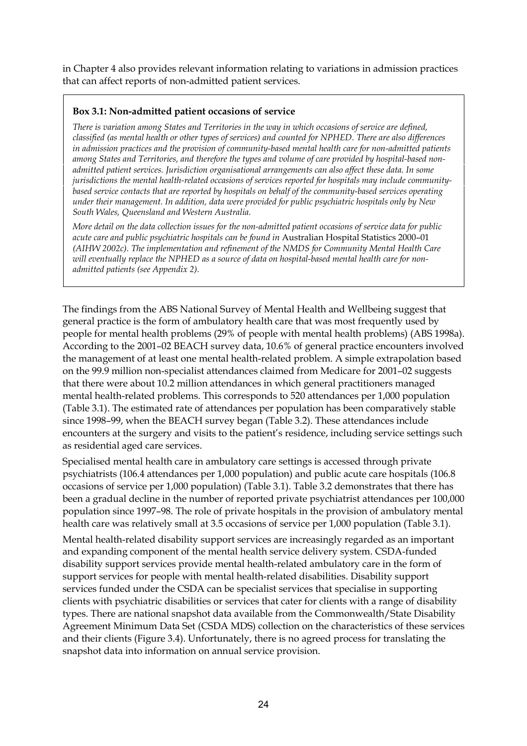in Chapter 4 also provides relevant information relating to variations in admission practices that can affect reports of non-admitted patient services.

### **Box 3.1: Non-admitted patient occasions of service**

*There is variation among States and Territories in the way in which occasions of service are defined, classified (as mental health or other types of services) and counted for NPHED. There are also differences in admission practices and the provision of community-based mental health care for non-admitted patients among States and Territories, and therefore the types and volume of care provided by hospital-based nonadmitted patient services. Jurisdiction organisational arrangements can also affect these data. In some jurisdictions the mental health-related occasions of services reported for hospitals may include communitybased service contacts that are reported by hospitals on behalf of the community-based services operating under their management. In addition, data were provided for public psychiatric hospitals only by New South Wales, Queensland and Western Australia.*

*More detail on the data collection issues for the non-admitted patient occasions of service data for public acute care and public psychiatric hospitals can be found in* Australian Hospital Statistics 2000–01 *(AIHW 2002c). The implementation and refinement of the NMDS for Community Mental Health Care will eventually replace the NPHED as a source of data on hospital-based mental health care for nonadmitted patients (see Appendix 2).*

The findings from the ABS National Survey of Mental Health and Wellbeing suggest that general practice is the form of ambulatory health care that was most frequently used by people for mental health problems (29% of people with mental health problems) (ABS 1998a). According to the 2001–02 BEACH survey data, 10.6% of general practice encounters involved the management of at least one mental health-related problem. A simple extrapolation based on the 99.9 million non-specialist attendances claimed from Medicare for 2001–02 suggests that there were about 10.2 million attendances in which general practitioners managed mental health-related problems. This corresponds to 520 attendances per 1,000 population (Table 3.1). The estimated rate of attendances per population has been comparatively stable since 1998–99, when the BEACH survey began (Table 3.2). These attendances include encounters at the surgery and visits to the patient's residence, including service settings such as residential aged care services.

Specialised mental health care in ambulatory care settings is accessed through private psychiatrists (106.4 attendances per 1,000 population) and public acute care hospitals (106.8 occasions of service per 1,000 population) (Table 3.1). Table 3.2 demonstrates that there has been a gradual decline in the number of reported private psychiatrist attendances per 100,000 population since 1997–98. The role of private hospitals in the provision of ambulatory mental health care was relatively small at 3.5 occasions of service per 1,000 population (Table 3.1).

Mental health-related disability support services are increasingly regarded as an important and expanding component of the mental health service delivery system. CSDA-funded disability support services provide mental health-related ambulatory care in the form of support services for people with mental health-related disabilities. Disability support services funded under the CSDA can be specialist services that specialise in supporting clients with psychiatric disabilities or services that cater for clients with a range of disability types. There are national snapshot data available from the Commonwealth/State Disability Agreement Minimum Data Set (CSDA MDS) collection on the characteristics of these services and their clients (Figure 3.4). Unfortunately, there is no agreed process for translating the snapshot data into information on annual service provision.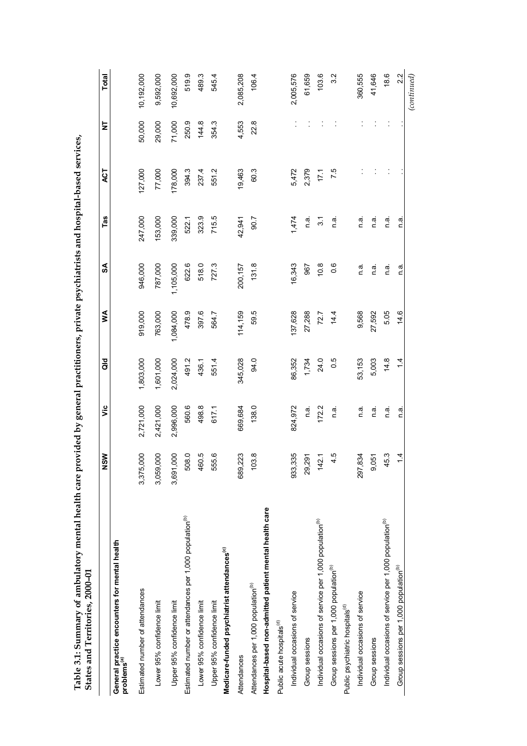| States and Territories, 2000-01                                          |               |           |               |           |           |               |         |        |              |
|--------------------------------------------------------------------------|---------------|-----------|---------------|-----------|-----------|---------------|---------|--------|--------------|
|                                                                          | ŠŅ            | ۊ         | as<br>G       | ⋚         | SA        | Tas           | ACT     | Ż      | <b>Total</b> |
| General practice encounters for mental health<br>problems <sup>(a)</sup> |               |           |               |           |           |               |         |        |              |
| Estimated number of attendances                                          | 000<br>3,375, | 2,721,000 | 1,803,000     | 919,000   | 946,000   | 247,000       | 127,000 | 50,000 | 10,192,000   |
| Lower 95% confidence limit                                               | 80<br>3,059,  | 2,421,000 | 1,601,000     | 763,000   | 787,000   | 153,000       | 77,000  | 29,000 | 9,592,000    |
| Upper 95% confidence limit                                               | 80<br>3,691,  | 2,996,000 | 2,024,000     | 1,084,000 | 1,105,000 | 339,000       | 178,000 | 71,000 | 10,692,000   |
| Estimated number or attendances per 1,000 population <sup>(b)</sup>      | 508.0         | 560.6     | 491.2         | 478.9     | 622.6     | 522.1         | 394.3   | 250.9  | 519.9        |
| Lower 95% confidence limit                                               | 460.5         | 498.8     | 436.1         | 397.6     | 518.0     | 323.9         | 237.4   | 144.8  | 489.3        |
| Upper 95% confidence limit                                               | 555.6         | 617.1     | 551.4         | 564.7     | 727.3     | 715.5         | 551.2   | 354.3  | 545.4        |
| Medicare-funded psychiatrist attendances <sup>(c)</sup>                  |               |           |               |           |           |               |         |        |              |
| Attendances                                                              | 223<br>689,   | 669,684   | 345,028       | 114,159   | 200, 157  | 42,941        | 19,463  | 4,553  | 2,085,208    |
| Attendances per 1,000 population <sup>(b)</sup>                          | 03.8          | 138.0     | 94.0          | 59.5      | 131.8     | 90.7          | 60.3    | 22.8   | 1064         |
| Hospital-based non-admitted patient mental health care                   |               |           |               |           |           |               |         |        |              |
| Public acute hospitals <sup>(d)</sup>                                    |               |           |               |           |           |               |         |        |              |
| Individual occasions of service                                          | 335<br>933,   | 824,972   | 86,352        | 137,628   | 16,343    | 1,474         | 5,472   |        | 2,005,576    |
| Group sessions                                                           | 291<br>29,    | n.a.      | 1,734         | 27,288    | 967       | n a.          | 2,379   |        | 61,659       |
| Individual occasions of service per 1,000 population <sup>(b)</sup>      | 42.1          | 172.2     | 24.0          | 72.7      | 10.8      | $\frac{1}{3}$ | 17.1    |        | 103.6        |
| Group sessions per 1,000 population <sup>(b)</sup>                       | 4.5           | n a       | 0.5           | 14.4      | 0.6       | n.a.          | 7.5     |        | 3.2          |
| Public psychiatric hospitals <sup>(d)</sup>                              |               |           |               |           |           |               |         |        |              |
| Individual occasions of service                                          | 834<br>297,   | n.a.      | 53,153        | 9,568     | n a       | n a.          |         |        | 360,555      |
| Group sessions                                                           | 051<br>တ      | n.a.      | 5,003         | 27,592    | n.a.      | n a.          |         |        | 41,646       |
| Individual occasions of service per 1,000 population <sup>(b)</sup>      | 45.3          | n.a.      | 14.8          | 5.05      | n.a.      | n.a           |         |        | 18.6         |
| Group sessions per 1,000 population <sup>(b)</sup>                       | $\frac{1}{4}$ | n.a.      | $\frac{1}{4}$ | 14.6      | n.ai      | n.a           |         |        | 2.2          |
|                                                                          |               |           |               |           |           |               |         |        | (continued)  |

Table 3.1: Summary of ambulatory mental health care provided by general practitioners, private psychiatrists and hospital-based services, **Table 3.1: Summary of ambulatory mental health care provided by general practitioners, private psychiatrists and hospital-based services,**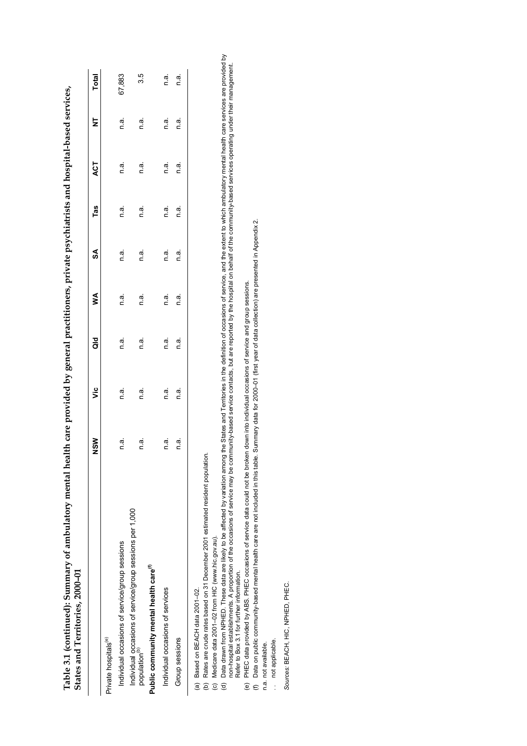| States and Territories, 2000-01                                                       | 1    | )<br>、 | 1    | í    | י<br>ו |      | 4    |      |        |
|---------------------------------------------------------------------------------------|------|--------|------|------|--------|------|------|------|--------|
|                                                                                       | ៵៓៓  | ئا     | ă    | ⋚    | S      | Tas  | ACT  | ₹    | Total  |
| Private hospitals <sup>(e)</sup>                                                      |      |        |      |      |        |      |      |      |        |
| Individual occasions of service/group sessions                                        | n.a. | n a.   | n a. | n a. | n a.   | n a. | n.a. | n a. | 67,883 |
| Individual occasions of service/group sessions per 1,000<br>population <sup>(b)</sup> | n.a. | n.a    | n a  | n a  | n a.   | n a. | n.a. | n a. | 3.5    |
| Public community mental health care <sup>(f)</sup>                                    |      |        |      |      |        |      |      |      |        |
| Individual occasions of services                                                      | n.a. | n.a.   | n.a. | n.a. | n.a.   | n.a. | n.a. | n.a. | n.ã.   |
| Group sessions                                                                        | n.a. | n a.   | n.a. | n a  | n a.   | n a. | n a. | n a  | n.a    |
| COL POOR AND REACH HOTEL COOPER                                                       |      |        |      |      |        |      |      |      |        |

Table 3.1 (continued): Summary of ambulatory mental health care provided by general practitioners, private psychiatrists and hospital-based services, **Table 3.1 (continued): Summary of ambulatory mental health care provided by general practitioners, private psychiatrists and hospital-based services,**

(a) Based on BEACH data 2001–02.

Rates are crude rates based on 31 December 2001 estimated resident population. (b) Rates are crude rates based on 31 December 2001 estimated resident population.

(c) Medicare data 2001–02 from HIC (www.hic.gov.au).

Data drawn from NPHED. These data are likely to be affected by variation among the States and Territories in the definition of occasions of service, and the extent to which ambulatory mental health care services are provid (d) Data drawn from NPHED. These data are likely to be affected by variation among the States and Territories in the definition of occasions of service, and the extent to which ambulatory mental health care services are pr non-hospital establishments. A proportion of the occasions of service may be community-based service contacts, but are reported by the hospital on behalf of the community-based services operating under their management. (a) Based on BEACH data 2001–02.<br>(b) Rates are crude rates based on 31 December 2001 (<br>(c) Medicare data 2001–02 from HIC (www.hic.gov.au).<br>(d) Data drawn from NPHED. These data are likely to be Refer to Box 3.1 for further information.

(e) PHEC data provided by ABS. PHEC occasions of service data could not be broken down into individual occasions of service and group sessions.

(e) PHEC data provided by ABS. PHEC occasions of service data could not be broken down into individual occasions of service and group sessions.<br>(f) Data on public community-based mental health care are not included in this (f) Data on public community-based mental health care are not included in this table. Summary data for 2000–01 (first year of data collection) are presented in Appendix 2.

n.a. not available. n.a. not available.

not applicable. . . not applicable.  $\frac{1}{2}$  Sources: BEACH, HIC, NPHED, PHEC. *Sources:* BEACH, HIC, NPHED, PHEC.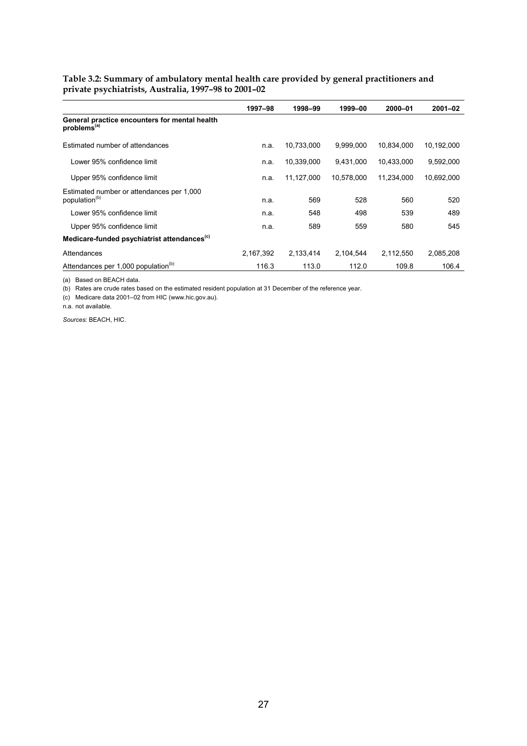#### **Table 3.2: Summary of ambulatory mental health care provided by general practitioners and private psychiatrists, Australia, 1997–98 to 2001–02**

|                                                                          | 1997-98   | 1998-99    | 1999-00    | 2000-01    | 2001-02    |
|--------------------------------------------------------------------------|-----------|------------|------------|------------|------------|
| General practice encounters for mental health<br>problems <sup>(a)</sup> |           |            |            |            |            |
| Estimated number of attendances                                          | n.a.      | 10,733,000 | 9,999,000  | 10,834,000 | 10,192,000 |
| Lower 95% confidence limit                                               | n.a.      | 10,339,000 | 9.431.000  | 10.433.000 | 9,592,000  |
| Upper 95% confidence limit                                               | n.a.      | 11,127,000 | 10,578,000 | 11,234,000 | 10,692,000 |
| Estimated number or attendances per 1,000<br>population <sup>(b)</sup>   | n.a.      | 569        | 528        | 560        | 520        |
| Lower 95% confidence limit                                               | n.a.      | 548        | 498        | 539        | 489        |
| Upper 95% confidence limit                                               | n.a.      | 589        | 559        | 580        | 545        |
| Medicare-funded psychiatrist attendances <sup>(c)</sup>                  |           |            |            |            |            |
| Attendances                                                              | 2,167,392 | 2,133,414  | 2,104,544  | 2,112,550  | 2,085,208  |
| Attendances per 1,000 population <sup>(b)</sup>                          | 116.3     | 113.0      | 112.0      | 109.8      | 106.4      |

(a) Based on BEACH data.

(b) Rates are crude rates based on the estimated resident population at 31 December of the reference year.

(c) Medicare data 2001–02 from HIC (www.hic.gov.au).

n.a. not available.

*Sources:* BEACH, HIC.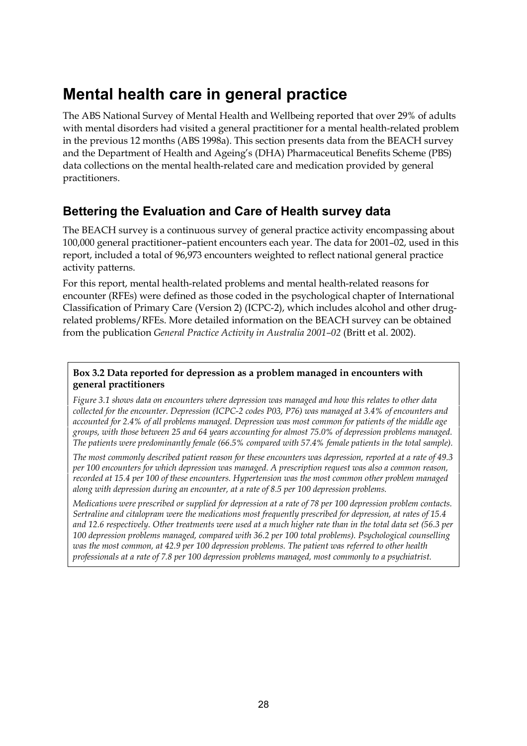# **Mental health care in general practice**

The ABS National Survey of Mental Health and Wellbeing reported that over 29% of adults with mental disorders had visited a general practitioner for a mental health-related problem in the previous 12 months (ABS 1998a). This section presents data from the BEACH survey and the Department of Health and Ageing's (DHA) Pharmaceutical Benefits Scheme (PBS) data collections on the mental health-related care and medication provided by general practitioners.

## **Bettering the Evaluation and Care of Health survey data**

The BEACH survey is a continuous survey of general practice activity encompassing about 100,000 general practitioner–patient encounters each year. The data for 2001–02, used in this report, included a total of 96,973 encounters weighted to reflect national general practice activity patterns.

For this report, mental health-related problems and mental health-related reasons for encounter (RFEs) were defined as those coded in the psychological chapter of International Classification of Primary Care (Version 2) (ICPC-2), which includes alcohol and other drugrelated problems/RFEs. More detailed information on the BEACH survey can be obtained from the publication *General Practice Activity in Australia 2001–02* (Britt et al. 2002).

### **Box 3.2 Data reported for depression as a problem managed in encounters with general practitioners**

*Figure 3.1 shows data on encounters where depression was managed and how this relates to other data collected for the encounter. Depression (ICPC-2 codes P03, P76) was managed at 3.4% of encounters and accounted for 2.4% of all problems managed. Depression was most common for patients of the middle age groups, with those between 25 and 64 years accounting for almost 75.0% of depression problems managed. The patients were predominantly female (66.5% compared with 57.4% female patients in the total sample).*

*The most commonly described patient reason for these encounters was depression, reported at a rate of 49.3 per 100 encounters for which depression was managed. A prescription request was also a common reason, recorded at 15.4 per 100 of these encounters. Hypertension was the most common other problem managed along with depression during an encounter, at a rate of 8.5 per 100 depression problems.*

*Medications were prescribed or supplied for depression at a rate of 78 per 100 depression problem contacts. Sertraline and citalopram were the medications most frequently prescribed for depression, at rates of 15.4 and 12.6 respectively. Other treatments were used at a much higher rate than in the total data set (56.3 per 100 depression problems managed, compared with 36.2 per 100 total problems). Psychological counselling was the most common, at 42.9 per 100 depression problems. The patient was referred to other health professionals at a rate of 7.8 per 100 depression problems managed, most commonly to a psychiatrist.*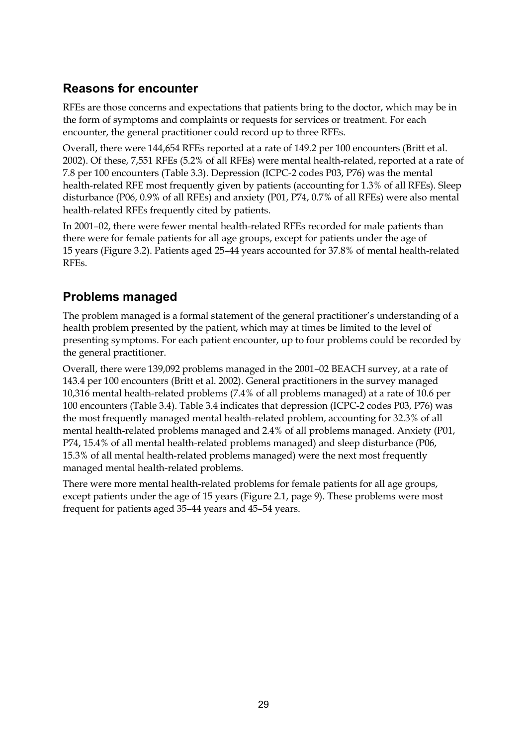# **Reasons for encounter**

RFEs are those concerns and expectations that patients bring to the doctor, which may be in the form of symptoms and complaints or requests for services or treatment. For each encounter, the general practitioner could record up to three RFEs.

Overall, there were 144,654 RFEs reported at a rate of 149.2 per 100 encounters (Britt et al. 2002). Of these, 7,551 RFEs (5.2% of all RFEs) were mental health-related, reported at a rate of 7.8 per 100 encounters (Table 3.3). Depression (ICPC-2 codes P03, P76) was the mental health-related RFE most frequently given by patients (accounting for 1.3% of all RFEs). Sleep disturbance (P06, 0.9% of all RFEs) and anxiety (P01, P74, 0.7% of all RFEs) were also mental health-related RFEs frequently cited by patients.

In 2001–02, there were fewer mental health-related RFEs recorded for male patients than there were for female patients for all age groups, except for patients under the age of 15 years (Figure 3.2). Patients aged 25–44 years accounted for 37.8% of mental health-related RFEs.

# **Problems managed**

The problem managed is a formal statement of the general practitioner's understanding of a health problem presented by the patient, which may at times be limited to the level of presenting symptoms. For each patient encounter, up to four problems could be recorded by the general practitioner.

Overall, there were 139,092 problems managed in the 2001–02 BEACH survey, at a rate of 143.4 per 100 encounters (Britt et al. 2002). General practitioners in the survey managed 10,316 mental health-related problems (7.4% of all problems managed) at a rate of 10.6 per 100 encounters (Table 3.4). Table 3.4 indicates that depression (ICPC-2 codes P03, P76) was the most frequently managed mental health-related problem, accounting for 32.3% of all mental health-related problems managed and 2.4% of all problems managed. Anxiety (P01, P74, 15.4% of all mental health-related problems managed) and sleep disturbance (P06, 15.3% of all mental health-related problems managed) were the next most frequently managed mental health-related problems.

There were more mental health-related problems for female patients for all age groups, except patients under the age of 15 years (Figure 2.1, page 9). These problems were most frequent for patients aged 35–44 years and 45–54 years.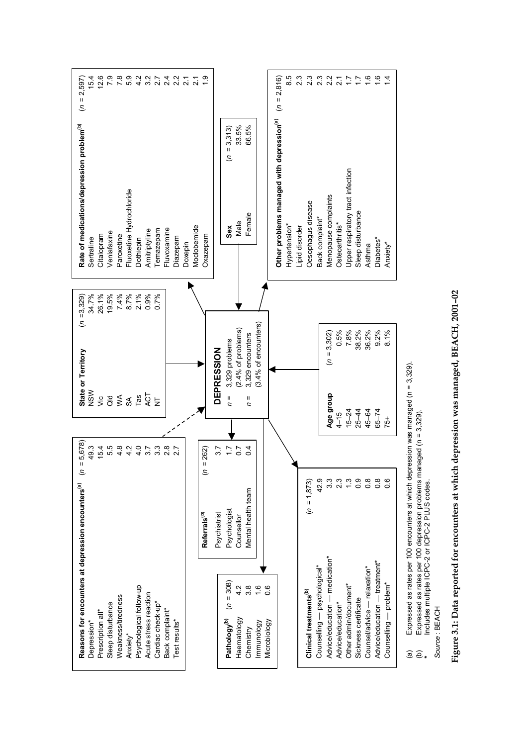

 Includes multiple ICPC-2 or ICPC-2 PLUS codes. Source: BEACH *Source* : BEACH

**\***

 **Figure 3.1: Data reported for encounters at which depression was managed, BEACH, 2001–02 Figure 3.1: Data reported for encounters at which depression was managed, BEACH, 2001–02**Figure 3.1: Data reported for encounters at which depression was managed, BEACH, 2001-02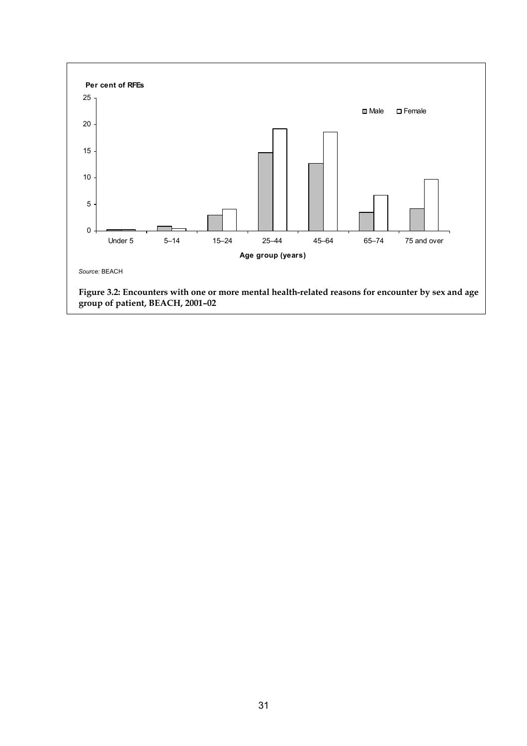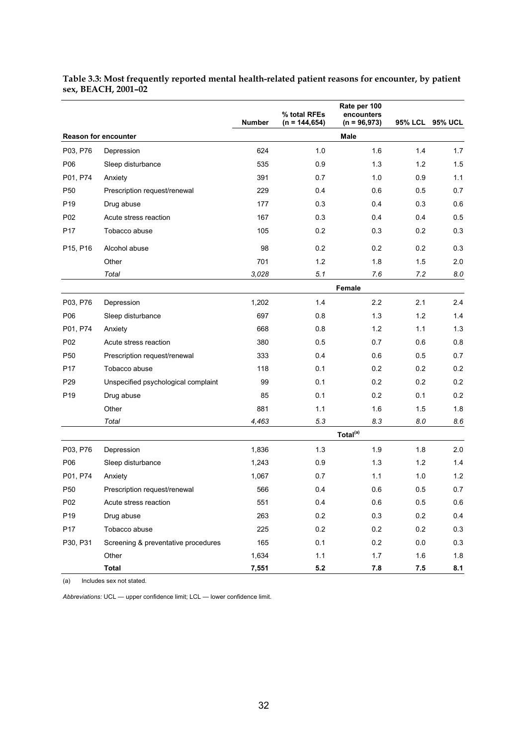|                 |                                     | <b>Number</b> | % total RFEs<br>$(n = 144, 654)$ | Rate per 100<br>encounters<br>$(n = 96,973)$ | 95% LCL | <b>95% UCL</b> |
|-----------------|-------------------------------------|---------------|----------------------------------|----------------------------------------------|---------|----------------|
|                 | <b>Reason for encounter</b>         |               |                                  | Male                                         |         |                |
| P03, P76        | Depression                          | 624           | 1.0                              | 1.6                                          | 1.4     | 1.7            |
| P06             | Sleep disturbance                   | 535           | 0.9                              | 1.3                                          | 1.2     | 1.5            |
| P01, P74        | Anxiety                             | 391           | 0.7                              | 1.0                                          | 0.9     | 1.1            |
| P <sub>50</sub> | Prescription request/renewal        | 229           | 0.4                              | 0.6                                          | 0.5     | 0.7            |
| P <sub>19</sub> | Drug abuse                          | 177           | 0.3                              | 0.4                                          | 0.3     | 0.6            |
| P <sub>02</sub> | Acute stress reaction               | 167           | 0.3                              | 0.4                                          | 0.4     | 0.5            |
| P <sub>17</sub> | Tobacco abuse                       | 105           | 0.2                              | 0.3                                          | 0.2     | 0.3            |
| P15, P16        | Alcohol abuse                       | 98            | 0.2                              | 0.2                                          | 0.2     | 0.3            |
|                 | Other                               | 701           | $1.2$                            | 1.8                                          | 1.5     | 2.0            |
|                 | Total                               | 3,028         | 5.1                              | 7.6                                          | 7.2     | 8.0            |
|                 |                                     |               |                                  | Female                                       |         |                |
| P03, P76        | Depression                          | 1,202         | 1.4                              | 2.2                                          | 2.1     | 2.4            |
| P06             | Sleep disturbance                   | 697           | 0.8                              | 1.3                                          | 1.2     | 1.4            |
| P01, P74        | Anxiety                             | 668           | 0.8                              | 1.2                                          | 1.1     | 1.3            |
| P02             | Acute stress reaction               | 380           | 0.5                              | 0.7                                          | 0.6     | 0.8            |
| P <sub>50</sub> | Prescription request/renewal        | 333           | 0.4                              | 0.6                                          | 0.5     | 0.7            |
| P <sub>17</sub> | Tobacco abuse                       | 118           | 0.1                              | 0.2                                          | 0.2     | 0.2            |
| P <sub>29</sub> | Unspecified psychological complaint | 99            | 0.1                              | 0.2                                          | 0.2     | 0.2            |
| P <sub>19</sub> | Drug abuse                          | 85            | 0.1                              | 0.2                                          | 0.1     | 0.2            |
|                 | Other                               | 881           | 1.1                              | 1.6                                          | 1.5     | 1.8            |
|                 | Total                               | 4,463         | 5.3                              | 8.3                                          | 8.0     | 8.6            |
|                 |                                     |               |                                  | Total <sup>(a)</sup>                         |         |                |
| P03, P76        | Depression                          | 1,836         | 1.3                              | 1.9                                          | 1.8     | 2.0            |
| P06             | Sleep disturbance                   | 1,243         | 0.9                              | 1.3                                          | 1.2     | 1.4            |
| P01, P74        | Anxiety                             | 1,067         | 0.7                              | 1.1                                          | 1.0     | 1.2            |
| P <sub>50</sub> | Prescription request/renewal        | 566           | 0.4                              | 0.6                                          | 0.5     | 0.7            |
| P02             | Acute stress reaction               | 551           | 0.4                              | 0.6                                          | 0.5     | 0.6            |
| P <sub>19</sub> | Drug abuse                          | 263           | 0.2                              | 0.3                                          | 0.2     | 0.4            |
| P17             | Tobacco abuse                       | 225           | 0.2                              | 0.2                                          | 0.2     | 0.3            |
| P30, P31        | Screening & preventative procedures | 165           | 0.1                              | 0.2                                          | 0.0     | 0.3            |
|                 | Other                               | 1,634         | 1.1                              | 1.7                                          | 1.6     | 1.8            |
|                 | <b>Total</b>                        | 7,551         | $5.2$                            | $\bf 7.8$                                    | 7.5     | 8.1            |

#### **Table 3.3: Most frequently reported mental health-related patient reasons for encounter, by patient sex, BEACH, 2001–02**

(a) Includes sex not stated.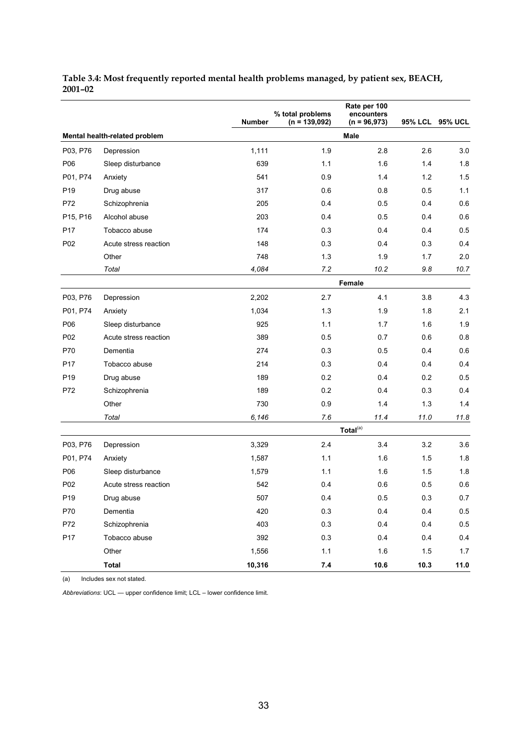|                 |                               | <b>Number</b> | % total problems<br>$(n = 139,092)$ | Rate per 100<br>encounters<br>$(n = 96,973)$ | <b>95% LCL</b> | <b>95% UCL</b> |
|-----------------|-------------------------------|---------------|-------------------------------------|----------------------------------------------|----------------|----------------|
|                 | Mental health-related problem |               |                                     | Male                                         |                |                |
| P03, P76        | Depression                    | 1,111         | 1.9                                 | 2.8                                          | 2.6            | 3.0            |
| P06             | Sleep disturbance             | 639           | 1.1                                 | 1.6                                          | 1.4            | 1.8            |
| P01, P74        | Anxiety                       | 541           | 0.9                                 | 1.4                                          | 1.2            | 1.5            |
| P <sub>19</sub> | Drug abuse                    | 317           | 0.6                                 | 0.8                                          | 0.5            | 1.1            |
| P72             | Schizophrenia                 | 205           | 0.4                                 | 0.5                                          | 0.4            | 0.6            |
| P15, P16        | Alcohol abuse                 | 203           | 0.4                                 | 0.5                                          | 0.4            | 0.6            |
| P <sub>17</sub> | Tobacco abuse                 | 174           | 0.3                                 | 0.4                                          | 0.4            | 0.5            |
| P <sub>02</sub> | Acute stress reaction         | 148           | 0.3                                 | 0.4                                          | 0.3            | 0.4            |
|                 | Other                         | 748           | 1.3                                 | 1.9                                          | 1.7            | 2.0            |
|                 | Total                         | 4,084         | 7.2                                 | 10.2                                         | 9.8            | 10.7           |
|                 |                               |               |                                     | Female                                       |                |                |
| P03, P76        | Depression                    | 2,202         | 2.7                                 | 4.1                                          | 3.8            | 4.3            |
| P01, P74        | Anxiety                       | 1,034         | 1.3                                 | 1.9                                          | 1.8            | 2.1            |
| P06             | Sleep disturbance             | 925           | 1.1                                 | 1.7                                          | 1.6            | 1.9            |
| P <sub>02</sub> | Acute stress reaction         | 389           | 0.5                                 | 0.7                                          | 0.6            | 0.8            |
| P70             | Dementia                      | 274           | 0.3                                 | 0.5                                          | 0.4            | 0.6            |
| P <sub>17</sub> | Tobacco abuse                 | 214           | 0.3                                 | 0.4                                          | 0.4            | 0.4            |
| P <sub>19</sub> | Drug abuse                    | 189           | 0.2                                 | 0.4                                          | 0.2            | 0.5            |
| P72             | Schizophrenia                 | 189           | 0.2                                 | 0.4                                          | 0.3            | 0.4            |
|                 | Other                         | 730           | 0.9                                 | 1.4                                          | 1.3            | 1.4            |
|                 | Total                         | 6,146         | 7.6                                 | 11.4                                         | 11.0           | 11.8           |
|                 |                               |               |                                     | Total <sup>(a)</sup>                         |                |                |
| P03, P76        | Depression                    | 3,329         | 2.4                                 | 3.4                                          | 3.2            | 3.6            |
| P01, P74        | Anxiety                       | 1,587         | 1.1                                 | 1.6                                          | 1.5            | 1.8            |
| P06             | Sleep disturbance             | 1,579         | 1.1                                 | 1.6                                          | 1.5            | 1.8            |
| P02             | Acute stress reaction         | 542           | 0.4                                 | 0.6                                          | 0.5            | 0.6            |
| P <sub>19</sub> | Drug abuse                    | 507           | 0.4                                 | 0.5                                          | 0.3            | 0.7            |
| P70             | Dementia                      | 420           | 0.3                                 | 0.4                                          | 0.4            | 0.5            |
| P72             | Schizophrenia                 | 403           | $0.3\,$                             | 0.4                                          | 0.4            | 0.5            |
| P17             | Tobacco abuse                 | 392           | $0.3\,$                             | 0.4                                          | 0.4            | 0.4            |
|                 | Other                         | 1,556         | 1.1                                 | 1.6                                          | 1.5            | 1.7            |
|                 | <b>Total</b>                  | 10,316        | $7.4$                               | 10.6                                         | 10.3           | 11.0           |

#### **Table 3.4: Most frequently reported mental health problems managed, by patient sex, BEACH, 2001–02**

(a) Includes sex not stated.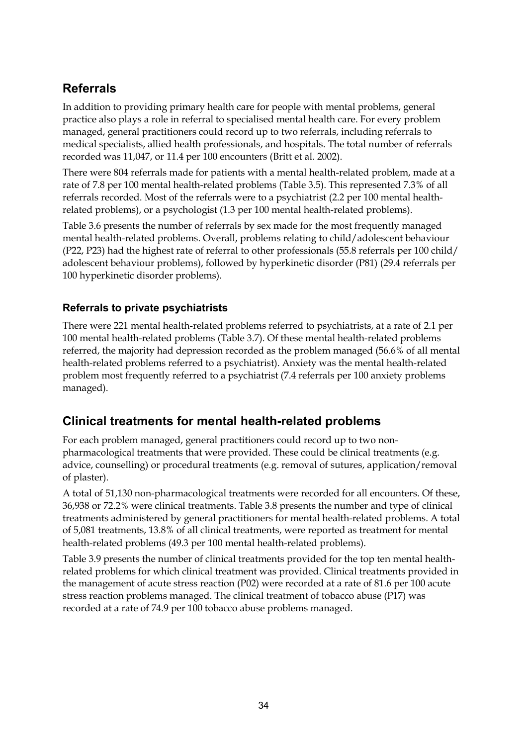# **Referrals**

In addition to providing primary health care for people with mental problems, general practice also plays a role in referral to specialised mental health care. For every problem managed, general practitioners could record up to two referrals, including referrals to medical specialists, allied health professionals, and hospitals. The total number of referrals recorded was 11,047, or 11.4 per 100 encounters (Britt et al. 2002).

There were 804 referrals made for patients with a mental health-related problem, made at a rate of 7.8 per 100 mental health-related problems (Table 3.5). This represented 7.3% of all referrals recorded. Most of the referrals were to a psychiatrist (2.2 per 100 mental healthrelated problems), or a psychologist (1.3 per 100 mental health-related problems).

Table 3.6 presents the number of referrals by sex made for the most frequently managed mental health-related problems. Overall, problems relating to child/adolescent behaviour (P22, P23) had the highest rate of referral to other professionals (55.8 referrals per 100 child/ adolescent behaviour problems), followed by hyperkinetic disorder (P81) (29.4 referrals per 100 hyperkinetic disorder problems).

### **Referrals to private psychiatrists**

There were 221 mental health-related problems referred to psychiatrists, at a rate of 2.1 per 100 mental health-related problems (Table 3.7). Of these mental health-related problems referred, the majority had depression recorded as the problem managed (56.6% of all mental health-related problems referred to a psychiatrist). Anxiety was the mental health-related problem most frequently referred to a psychiatrist (7.4 referrals per 100 anxiety problems managed).

### **Clinical treatments for mental health-related problems**

For each problem managed, general practitioners could record up to two nonpharmacological treatments that were provided. These could be clinical treatments (e.g. advice, counselling) or procedural treatments (e.g. removal of sutures, application/removal of plaster).

A total of 51,130 non-pharmacological treatments were recorded for all encounters. Of these, 36,938 or 72.2% were clinical treatments. Table 3.8 presents the number and type of clinical treatments administered by general practitioners for mental health-related problems. A total of 5,081 treatments, 13.8% of all clinical treatments, were reported as treatment for mental health-related problems (49.3 per 100 mental health-related problems).

Table 3.9 presents the number of clinical treatments provided for the top ten mental healthrelated problems for which clinical treatment was provided. Clinical treatments provided in the management of acute stress reaction (P02) were recorded at a rate of 81.6 per 100 acute stress reaction problems managed. The clinical treatment of tobacco abuse (P17) was recorded at a rate of 74.9 per 100 tobacco abuse problems managed.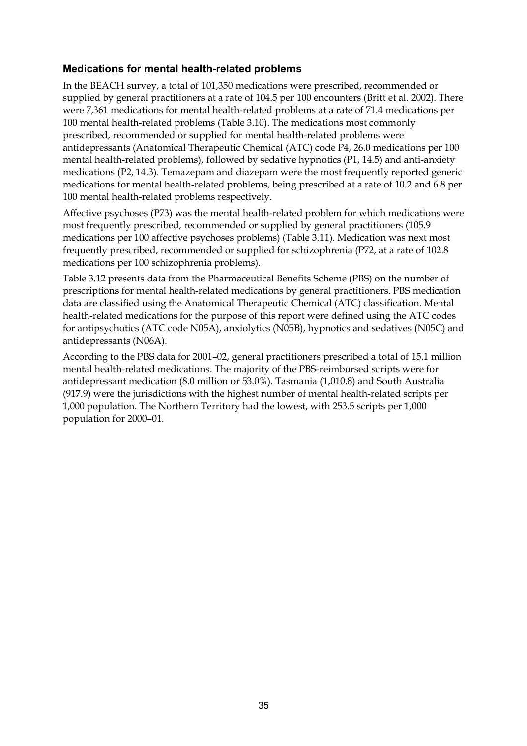### **Medications for mental health-related problems**

In the BEACH survey, a total of 101,350 medications were prescribed, recommended or supplied by general practitioners at a rate of 104.5 per 100 encounters (Britt et al. 2002). There were 7,361 medications for mental health-related problems at a rate of 71.4 medications per 100 mental health-related problems (Table 3.10). The medications most commonly prescribed, recommended or supplied for mental health-related problems were antidepressants (Anatomical Therapeutic Chemical (ATC) code P4, 26.0 medications per 100 mental health-related problems), followed by sedative hypnotics (P1, 14.5) and anti-anxiety medications (P2, 14.3). Temazepam and diazepam were the most frequently reported generic medications for mental health-related problems, being prescribed at a rate of 10.2 and 6.8 per 100 mental health-related problems respectively.

Affective psychoses (P73) was the mental health-related problem for which medications were most frequently prescribed, recommended or supplied by general practitioners (105.9 medications per 100 affective psychoses problems) (Table 3.11). Medication was next most frequently prescribed, recommended or supplied for schizophrenia (P72, at a rate of 102.8 medications per 100 schizophrenia problems).

Table 3.12 presents data from the Pharmaceutical Benefits Scheme (PBS) on the number of prescriptions for mental health-related medications by general practitioners. PBS medication data are classified using the Anatomical Therapeutic Chemical (ATC) classification. Mental health-related medications for the purpose of this report were defined using the ATC codes for antipsychotics (ATC code N05A), anxiolytics (N05B), hypnotics and sedatives (N05C) and antidepressants (N06A).

According to the PBS data for 2001–02, general practitioners prescribed a total of 15.1 million mental health-related medications. The majority of the PBS-reimbursed scripts were for antidepressant medication (8.0 million or 53.0%). Tasmania (1,010.8) and South Australia (917.9) were the jurisdictions with the highest number of mental health-related scripts per 1,000 population. The Northern Territory had the lowest, with 253.5 scripts per 1,000 population for 2000–01.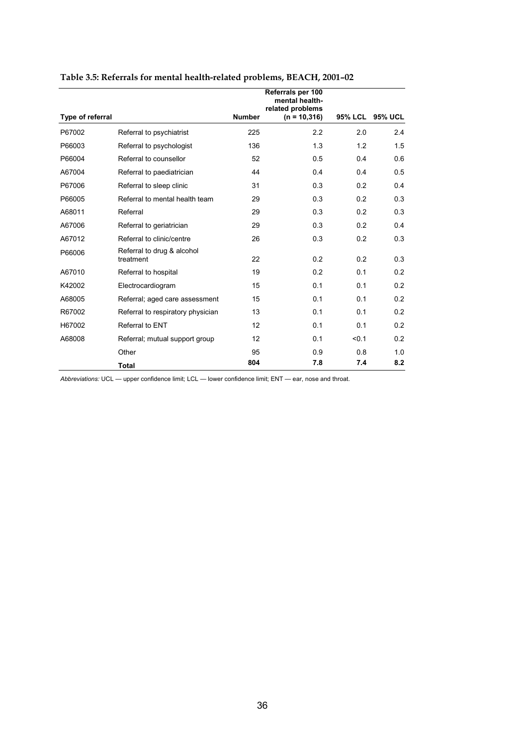|                  |                                         |               | Referrals per 100<br>mental health- |                |                |
|------------------|-----------------------------------------|---------------|-------------------------------------|----------------|----------------|
| Type of referral |                                         | <b>Number</b> | related problems<br>$(n = 10, 316)$ | <b>95% LCL</b> | <b>95% UCL</b> |
| P67002           | Referral to psychiatrist                | 225           | 2.2                                 | 2.0            | 2.4            |
| P66003           | Referral to psychologist                | 136           | 1.3                                 | 1.2            | 1.5            |
| P66004           | Referral to counsellor                  | 52            | 0.5                                 | 0.4            | 0.6            |
| A67004           | Referral to paediatrician               | 44            | 0.4                                 | 0.4            | 0.5            |
| P67006           | Referral to sleep clinic                | 31            | 0.3                                 | 0.2            | 0.4            |
| P66005           | Referral to mental health team          | 29            | 0.3                                 | 0.2            | 0.3            |
| A68011           | Referral                                | 29            | 0.3                                 | 0.2            | 0.3            |
| A67006           | Referral to geriatrician                | 29            | 0.3                                 | 0.2            | 0.4            |
| A67012           | Referral to clinic/centre               | 26            | 0.3                                 | 0.2            | 0.3            |
| P66006           | Referral to drug & alcohol<br>treatment | 22            | 0.2                                 | 0.2            | 0.3            |
| A67010           | Referral to hospital                    | 19            | 0.2                                 | 0.1            | 0.2            |
| K42002           | Electrocardiogram                       | 15            | 0.1                                 | 0.1            | 0.2            |
| A68005           | Referral; aged care assessment          | 15            | 0.1                                 | 0.1            | 0.2            |
| R67002           | Referral to respiratory physician       | 13            | 0.1                                 | 0.1            | 0.2            |
| H67002           | Referral to ENT                         | 12            | 0.1                                 | 0.1            | 0.2            |
| A68008           | Referral; mutual support group          | 12            | 0.1                                 | < 0.1          | 0.2            |
|                  | Other                                   | 95            | 0.9                                 | 0.8            | 1.0            |
|                  | <b>Total</b>                            | 804           | 7.8                                 | 7.4            | 8.2            |

### **Table 3.5: Referrals for mental health-related problems, BEACH, 2001–02**

*Abbreviations:* UCL — upper confidence limit; LCL — lower confidence limit; ENT — ear, nose and throat.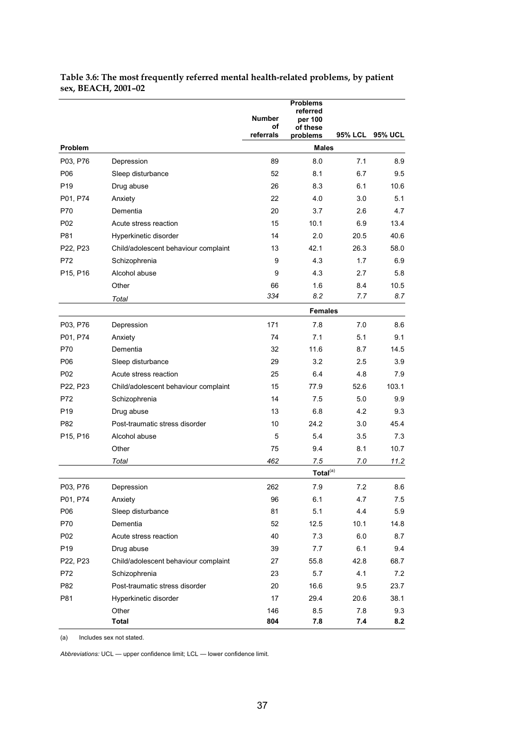|                 |                                      | <b>Number</b><br>οf | <b>Problems</b><br>referred<br>per 100<br>of these |         |                |
|-----------------|--------------------------------------|---------------------|----------------------------------------------------|---------|----------------|
|                 |                                      | referrals           | problems<br><b>Males</b>                           | 95% LCL | <b>95% UCL</b> |
| Problem         |                                      |                     |                                                    |         |                |
| P03, P76        | Depression                           | 89                  | 8.0                                                | 7.1     | 8.9            |
| P06             | Sleep disturbance                    | 52                  | 8.1                                                | 6.7     | 9.5            |
| P <sub>19</sub> | Drug abuse                           | 26                  | 8.3                                                | 6.1     | 10.6<br>5.1    |
| P01, P74        | Anxiety                              | 22                  | 4.0                                                | 3.0     |                |
| P70             | Dementia                             | 20                  | 3.7                                                | 2.6     | 4.7            |
| P <sub>02</sub> | Acute stress reaction                | 15                  | 10.1                                               | 6.9     | 13.4           |
| P81             | Hyperkinetic disorder                | 14                  | 2.0                                                | 20.5    | 40.6           |
| P22, P23        | Child/adolescent behaviour complaint | 13                  | 42.1                                               | 26.3    | 58.0           |
| P72             | Schizophrenia                        | 9                   | 4.3                                                | 1.7     | 6.9            |
| P15, P16        | Alcohol abuse                        | 9                   | 4.3                                                | 2.7     | 5.8            |
|                 | Other                                | 66                  | 1.6                                                | 8.4     | 10.5           |
|                 | Total                                | 334                 | 8.2                                                | 7.7     | 8.7            |
|                 |                                      |                     | <b>Females</b>                                     |         |                |
| P03, P76        | Depression                           | 171                 | 7.8                                                | 7.0     | 8.6            |
| P01, P74        | Anxiety                              | 74                  | 7.1                                                | 5.1     | 9.1            |
| P70             | Dementia                             | 32                  | 11.6                                               | 8.7     | 14.5           |
| P06             | Sleep disturbance                    | 29                  | 3.2                                                | 2.5     | 3.9            |
| P <sub>02</sub> | Acute stress reaction                | 25                  | 6.4                                                | 4.8     | 7.9            |
| P22, P23        | Child/adolescent behaviour complaint | 15                  | 77.9                                               | 52.6    | 103.1          |
| P72             | Schizophrenia                        | 14                  | 7.5                                                | 5.0     | 9.9            |
| P <sub>19</sub> | Drug abuse                           | 13                  | 6.8                                                | 4.2     | 9.3            |
| P82             | Post-traumatic stress disorder       | 10                  | 24.2                                               | 3.0     | 45.4           |
| P15, P16        | Alcohol abuse                        | 5                   | 5.4                                                | 3.5     | 7.3            |
|                 | Other                                | 75                  | 9.4                                                | 8.1     | 10.7           |
|                 | Total                                | 462                 | 7.5                                                | 7.0     | 11.2           |
|                 |                                      |                     | Total <sup>(a)</sup>                               |         |                |
| P03, P76        | Depression                           | 262                 | 7.9                                                | 7.2     | 8.6            |
| P01, P74        | Anxiety                              | 96                  | 6.1                                                | 4.7     | 7.5            |
| P06             | Sleep disturbance                    | 81                  | 5.1                                                | 4.4     | 5.9            |
| P70             | Dementia                             | 52                  | 12.5                                               | 10.1    | 14.8           |
| P02             | Acute stress reaction                | 40                  | 7.3                                                | 6.0     | 8.7            |
| P19             | Drug abuse                           | 39                  | 7.7                                                | 6.1     | 9.4            |
| P22, P23        | Child/adolescent behaviour complaint | 27                  | 55.8                                               | 42.8    | 68.7           |
| P72             | Schizophrenia                        | 23                  | 5.7                                                | 4.1     | 7.2            |
| P82             | Post-traumatic stress disorder       | 20                  | 16.6                                               | 9.5     | 23.7           |
| P81             | Hyperkinetic disorder                | 17                  | 29.4                                               | 20.6    | 38.1           |
|                 | Other                                | 146                 | 8.5                                                | 7.8     | 9.3            |
|                 | Total                                | 804                 | 7.8                                                | 7.4     | 8.2            |

#### **Table 3.6: The most frequently referred mental health-related problems, by patient sex, BEACH, 2001–02**

(a) Includes sex not stated.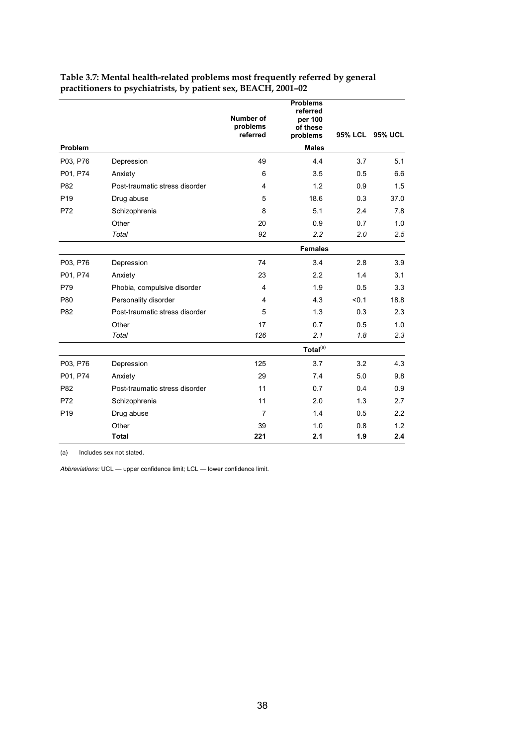|                 |                                | Number of<br>problems   | <b>Problems</b><br>referred<br>per 100<br>of these |         |                |
|-----------------|--------------------------------|-------------------------|----------------------------------------------------|---------|----------------|
|                 |                                | referred                | problems                                           | 95% LCL | <b>95% UCL</b> |
| Problem         |                                |                         | <b>Males</b>                                       |         |                |
| P03, P76        | Depression                     | 49                      | 4.4                                                | 3.7     | 5.1            |
| P01, P74        | Anxiety                        | 6                       | 3.5                                                | 0.5     | 6.6            |
| P82             | Post-traumatic stress disorder | 4                       | 1.2                                                | 0.9     | 1.5            |
| P <sub>19</sub> | Drug abuse                     | 5                       | 18.6                                               | 0.3     | 37.0           |
| P72             | Schizophrenia                  | 8                       | 5.1                                                | 2.4     | 7.8            |
|                 | Other                          | 20                      | 0.9                                                | 0.7     | 1.0            |
|                 | Total                          | 92                      | 2.2                                                | 2.0     | 2.5            |
|                 |                                |                         | <b>Females</b>                                     |         |                |
| P03, P76        | Depression                     | 74                      | 3.4                                                | 2.8     | 3.9            |
| P01, P74        | Anxiety                        | 23                      | 2.2                                                | 1.4     | 3.1            |
| P79             | Phobia, compulsive disorder    | $\overline{4}$          | 1.9                                                | 0.5     | 3.3            |
| P80             | Personality disorder           | $\overline{\mathbf{4}}$ | 4.3                                                | < 0.1   | 18.8           |
| P82             | Post-traumatic stress disorder | 5                       | 1.3                                                | 0.3     | 2.3            |
|                 | Other                          | 17                      | 0.7                                                | 0.5     | 1.0            |
|                 | Total                          | 126                     | 2.1                                                | 1.8     | 2.3            |
|                 |                                |                         | Total <sup>(a)</sup>                               |         |                |
| P03, P76        | Depression                     | 125                     | 3.7                                                | 3.2     | 4.3            |
| P01, P74        | Anxiety                        | 29                      | 7.4                                                | 5.0     | 9.8            |
| P82             | Post-traumatic stress disorder | 11                      | 0.7                                                | 0.4     | 0.9            |
| P72             | Schizophrenia                  | 11                      | 2.0                                                | 1.3     | 2.7            |
| P <sub>19</sub> | Drug abuse                     | $\overline{7}$          | 1.4                                                | 0.5     | 2.2            |
|                 | Other                          | 39                      | 1.0                                                | 0.8     | 1.2            |
|                 | <b>Total</b>                   | 221                     | 2.1                                                | 1.9     | 2.4            |

#### **Table 3.7: Mental health-related problems most frequently referred by general practitioners to psychiatrists, by patient sex, BEACH, 2001–02**

(a) Includes sex not stated.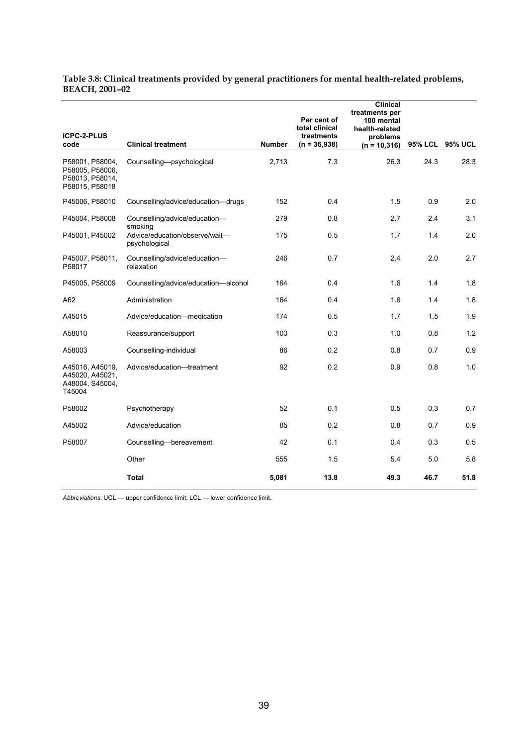#### **Table 3.8: Clinical treatments provided by general practitioners for mental health-related problems, BEACH, 2001–02**

|                                                                         |                                                 |               | Per cent of<br>total clinical | <b>Clinical</b><br>treatments per<br>100 mental<br>health-related |                |                |
|-------------------------------------------------------------------------|-------------------------------------------------|---------------|-------------------------------|-------------------------------------------------------------------|----------------|----------------|
| ICPC-2-PLUS<br>code                                                     | <b>Clinical treatment</b>                       | <b>Number</b> | treatments<br>$(n = 36,938)$  | problems<br>$(n = 10, 316)$                                       | <b>95% LCL</b> | <b>95% UCL</b> |
| P58001, P58004,<br>P58005, P58006,<br>P58013, P58014,<br>P58015, P58018 | Counselling-psychological                       | 2,713         | 7.3                           | 26.3                                                              | 24.3           | 28.3           |
| P45006, P58010                                                          | Counselling/advice/education-drugs              | 152           | 0.4                           | 1.5                                                               | 0.9            | 2.0            |
| P45004, P58008                                                          | Counselling/advice/education-<br>smoking        | 279           | 0.8                           | 2.7                                                               | 2.4            | 3.1            |
| P45001, P45002                                                          | Advice/education/observe/wait-<br>psychological | 175           | 0.5                           | 1.7                                                               | 1.4            | 2.0            |
| P45007, P58011,<br>P58017                                               | Counselling/advice/education-<br>relaxation     | 246           | 0.7                           | 2.4                                                               | 2.0            | 2.7            |
| P45005, P58009                                                          | Counselling/advice/education-alcohol            | 164           | 0.4                           | 1.6                                                               | 1.4            | 1.8            |
| A62                                                                     | Administration                                  | 164           | 0.4                           | 1.6                                                               | 1.4            | 1.8            |
| A45015                                                                  | Advice/education-medication                     | 174           | 0.5                           | 1.7                                                               | 1.5            | 1.9            |
| A58010                                                                  | Reassurance/support                             | 103           | 0.3                           | 1.0                                                               | 0.8            | 1.2            |
| A58003                                                                  | Counselling-individual                          | 86            | 0.2                           | 0.8                                                               | 0.7            | 0.9            |
| A45016, A45019,<br>A45020, A45021,<br>A48004, S45004,<br>T45004         | Advice/education-treatment                      | 92            | 0.2                           | 0.9                                                               | 0.8            | 1.0            |
| P58002                                                                  | Psychotherapy                                   | 52            | 0.1                           | 0.5                                                               | 0.3            | 0.7            |
| A45002                                                                  | Advice/education                                | 85            | 0.2                           | 0.8                                                               | 0.7            | 0.9            |
| P58007                                                                  | Counselling-bereavement                         | 42            | 0.1                           | 0.4                                                               | 0.3            | 0.5            |
|                                                                         | Other                                           | 555           | 1.5                           | 5.4                                                               | 5.0            | 5.8            |
|                                                                         | <b>Total</b>                                    | 5,081         | 13.8                          | 49.3                                                              | 46.7           | 51.8           |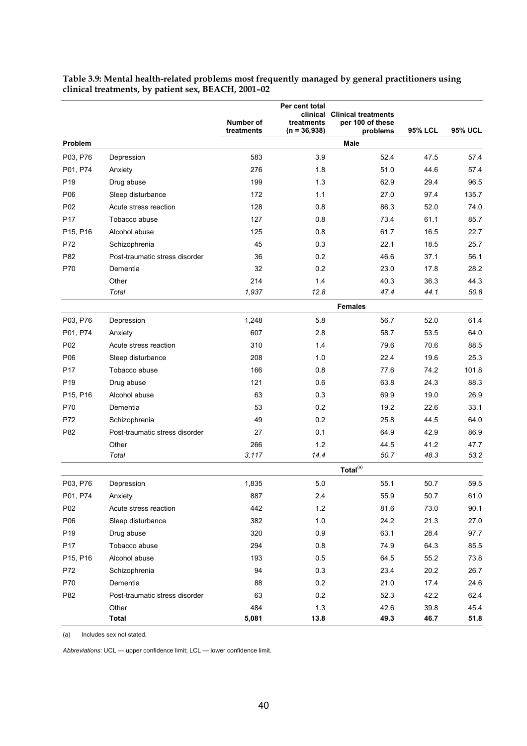|                 |                                | Number of<br>treatments | Per cent total<br>clinical<br>treatments<br>$(n = 36,938)$ | <b>Clinical treatments</b><br>per 100 of these<br>problems | <b>95% LCL</b> | <b>95% UCL</b> |
|-----------------|--------------------------------|-------------------------|------------------------------------------------------------|------------------------------------------------------------|----------------|----------------|
| Problem         |                                |                         |                                                            | Male                                                       |                |                |
| P03, P76        | Depression                     | 583                     | 3.9                                                        | 52.4                                                       | 47.5           | 57.4           |
| P01, P74        | Anxiety                        | 276                     | 1.8                                                        | 51.0                                                       | 44.6           | 57.4           |
| P <sub>19</sub> | Drug abuse                     | 199                     | 1.3                                                        | 62.9                                                       | 29.4           | 96.5           |
| P06             | Sleep disturbance              | 172                     | 1.1                                                        | 27.0                                                       | 97.4           | 135.7          |
| P02             | Acute stress reaction          | 128                     | 0.8                                                        | 86.3                                                       | 52.0           | 74.0           |
| P <sub>17</sub> | Tobacco abuse                  | 127                     | 0.8                                                        | 73.4                                                       | 61.1           | 85.7           |
| P15, P16        | Alcohol abuse                  | 125                     | 0.8                                                        | 61.7                                                       | 16.5           | 22.7           |
| P72             | Schizophrenia                  | 45                      | 0.3                                                        | 22.1                                                       | 18.5           | 25.7           |
| P82             | Post-traumatic stress disorder | 36                      | 0.2                                                        | 46.6                                                       | 37.1           | 56.1           |
| P70             | Dementia                       | 32                      | 0.2                                                        | 23.0                                                       | 17.8           | 28.2           |
|                 | Other                          | 214                     | 1.4                                                        | 40.3                                                       | 36.3           | 44.3           |
|                 | Total                          | 1,937                   | 12.8                                                       | 47.4                                                       | 44.1           | 50.8           |
|                 |                                |                         |                                                            | <b>Females</b>                                             |                |                |
| P03, P76        | Depression                     | 1,248                   | 5.8                                                        | 56.7                                                       | 52.0           | 61.4           |
| P01, P74        | Anxiety                        | 607                     | 2.8                                                        | 58.7                                                       | 53.5           | 64.0           |
| P02             | Acute stress reaction          | 310                     | 1.4                                                        | 79.6                                                       | 70.6           | 88.5           |
| P06             | Sleep disturbance              | 208                     | 1.0                                                        | 22.4                                                       | 19.6           | 25.3           |
| P <sub>17</sub> | Tobacco abuse                  | 166                     | 0.8                                                        | 77.6                                                       | 74.2           | 101.8          |
| P <sub>19</sub> | Drug abuse                     | 121                     | 0.6                                                        | 63.8                                                       | 24.3           | 88.3           |
| P15, P16        | Alcohol abuse                  | 63                      | 0.3                                                        | 69.9                                                       | 19.0           | 26.9           |
| P70             | Dementia                       | 53                      | 0.2                                                        | 19.2                                                       | 22.6           | 33.1           |
| P72             | Schizophrenia                  | 49                      | 0.2                                                        | 25.8                                                       | 44.5           | 64.0           |
| P82             | Post-traumatic stress disorder | 27                      | 0.1                                                        | 64.9                                                       | 42.9           | 86.9           |
|                 | Other                          | 266                     | 1.2                                                        | 44.5                                                       | 41.2           | 47.7           |
|                 | Total                          | 3,117                   | 14.4                                                       | 50.7                                                       | 48.3           | 53.2           |
|                 |                                |                         |                                                            | Total <sup>(a)</sup>                                       |                |                |
| P03, P76        | Depression                     | 1,835                   | 5.0                                                        | 55.1                                                       | 50.7           | 59.5           |
| P01, P74        | Anxiety                        | 887                     | 2.4                                                        | 55.9                                                       | 50.7           | 61.0           |
| P <sub>02</sub> | Acute stress reaction          | 442                     | 1.2                                                        | 81.6                                                       | 73.0           | 90.1           |
| P06             | Sleep disturbance              | 382                     | 1.0                                                        | 24.2                                                       | 21.3           | 27.0           |
| P <sub>19</sub> | Drug abuse                     | 320                     | 0.9                                                        | 63.1                                                       | 28.4           | 97.7           |
| P17             | Tobacco abuse                  | 294                     | 0.8                                                        | 74.9                                                       | 64.3           | 85.5           |
| P15, P16        | Alcohol abuse                  | 193                     | 0.5                                                        | 64.5                                                       | 55.2           | 73.8           |
| P72             | Schizophrenia                  | 94                      | 0.3                                                        | 23.4                                                       | 20.2           | 26.7           |
| P70             | Dementia                       | 88                      | 0.2                                                        | 21.0                                                       | 17.4           | 24.6           |
| P82             | Post-traumatic stress disorder | 63                      | 0.2                                                        | 52.3                                                       | 42.2           | 62.4           |
|                 | Other                          | 484                     | 1.3                                                        | 42.6                                                       | 39.8           | 45.4           |
|                 | <b>Total</b>                   | 5,081                   | 13.8                                                       | 49.3                                                       | 46.7           | 51.8           |

**Table 3.9: Mental health-related problems most frequently managed by general practitioners using clinical treatments, by patient sex, BEACH, 2001–02**

(a) Includes sex not stated.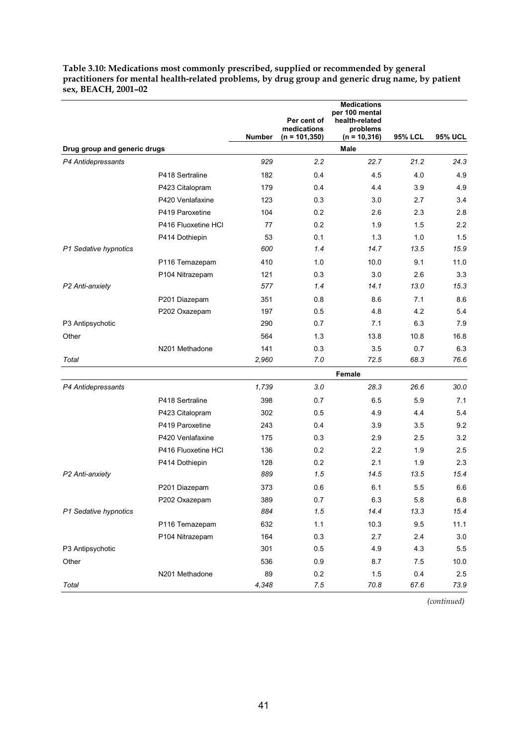|                              |                     | <b>Number</b> | Per cent of<br>medications<br>$(n = 101, 350)$ | <b>Medications</b><br>per 100 mental<br>health-related<br>problems<br>$(n = 10, 316)$ | <b>95% LCL</b> | <b>95% UCL</b> |
|------------------------------|---------------------|---------------|------------------------------------------------|---------------------------------------------------------------------------------------|----------------|----------------|
| Drug group and generic drugs |                     |               |                                                | <b>Male</b>                                                                           |                |                |
| P4 Antidepressants           |                     | 929           | 2.2                                            | 22.7                                                                                  | 21.2           | 24.3           |
|                              | P418 Sertraline     | 182           | 0.4                                            | 4.5                                                                                   | 4.0            | 4.9            |
|                              | P423 Citalopram     | 179           | 0.4                                            | 4.4                                                                                   | 3.9            | 4.9            |
|                              | P420 Venlafaxine    | 123           | 0.3                                            | 3.0                                                                                   | 2.7            | 3.4            |
|                              | P419 Paroxetine     | 104           | 0.2                                            | 2.6                                                                                   | 2.3            | 2.8            |
|                              | P416 Fluoxetine HCl | 77            | 0.2                                            | 1.9                                                                                   | 1.5            | 2.2            |
|                              | P414 Dothiepin      | 53            | 0.1                                            | 1.3                                                                                   | 1.0            | 1.5            |
| P1 Sedative hypnotics        |                     | 600           | 1.4                                            | 14.7                                                                                  | 13.5           | 15.9           |
|                              | P116 Temazepam      | 410           | 1.0                                            | 10.0                                                                                  | 9.1            | 11.0           |
|                              | P104 Nitrazepam     | 121           | 0.3                                            | 3.0                                                                                   | 2.6            | 3.3            |
| P2 Anti-anxiety              |                     | 577           | 1.4                                            | 14.1                                                                                  | 13.0           | 15.3           |
|                              | P201 Diazepam       | 351           | 0.8                                            | 8.6                                                                                   | 7.1            | 8.6            |
|                              | P202 Oxazepam       | 197           | 0.5                                            | 4.8                                                                                   | 4.2            | 5.4            |
| P3 Antipsychotic             |                     | 290           | 0.7                                            | 7.1                                                                                   | 6.3            | 7.9            |
| Other                        |                     | 564           | 1.3                                            | 13.8                                                                                  | 10.8           | 16.8           |
|                              | N201 Methadone      | 141           | 0.3                                            | 3.5                                                                                   | 0.7            | 6.3            |
| Total                        |                     | 2,960         | 7.0                                            | 72.5                                                                                  | 68.3           | 76.6           |
|                              |                     |               |                                                | Female                                                                                |                |                |
| P4 Antidepressants           |                     | 1,739         | 3.0                                            | 28.3                                                                                  | 26.6           | 30.0           |
|                              | P418 Sertraline     | 398           | 0.7                                            | 6.5                                                                                   | 5.9            | 7.1            |
|                              | P423 Citalopram     | 302           | 0.5                                            | 4.9                                                                                   | 4.4            | 5.4            |
|                              | P419 Paroxetine     | 243           | 0.4                                            | 3.9                                                                                   | 3.5            | 9.2            |
|                              | P420 Venlafaxine    | 175           | 0.3                                            | 2.9                                                                                   | 2.5            | 3.2            |
|                              | P416 Fluoxetine HCI | 136           | 0.2                                            | 2.2                                                                                   | 1.9            | 2.5            |
|                              | P414 Dothiepin      | 128           | 0.2                                            | 2.1                                                                                   | 1.9            | 2.3            |
| P2 Anti-anxiety              |                     | 889           | 1.5                                            | 14.5                                                                                  | 13.5           | 15.4           |
|                              | P201 Diazepam       | 373           | 0.6                                            | 6.1                                                                                   | 5.5            | 6.6            |
|                              | P202 Oxazepam       | 389           | 0.7                                            | 6.3                                                                                   | 5.8            | 6.8            |
| P1 Sedative hypnotics        |                     | 884           | 1.5                                            | 14.4                                                                                  | 13.3           | 15.4           |
|                              | P116 Temazepam      | 632           | 1.1                                            | 10.3                                                                                  | 9.5            | 11.1           |
|                              | P104 Nitrazepam     | 164           | 0.3                                            | 2.7                                                                                   | 2.4            | 3.0            |
| P3 Antipsychotic             |                     | 301           | 0.5                                            | 4.9                                                                                   | 4.3            | 5.5            |
| Other                        |                     | 536           | 0.9                                            | 8.7                                                                                   | 7.5            | 10.0           |
|                              | N201 Methadone      | 89            | 0.2                                            | 1.5                                                                                   | 0.4            | 2.5            |
| Total                        |                     | 4,348         | 7.5                                            | 70.8                                                                                  | 67.6           | 73.9           |

**Table 3.10: Medications most commonly prescribed, supplied or recommended by general practitioners for mental health-related problems, by drug group and generic drug name, by patient sex, BEACH, 2001–02**

*(continued)*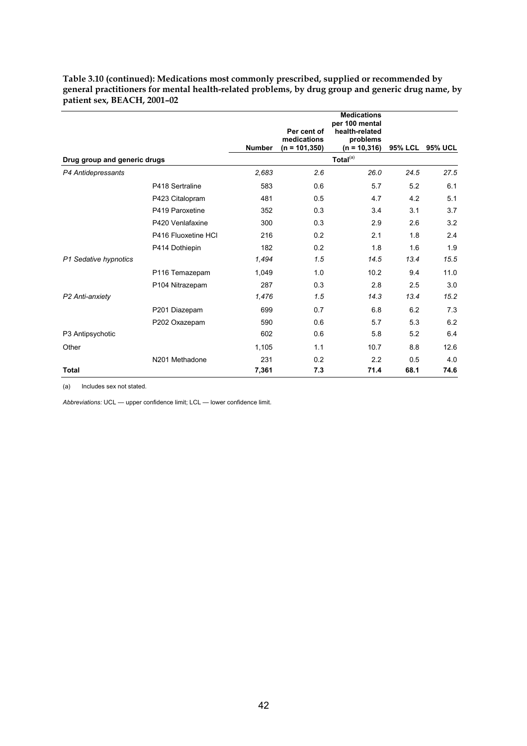|                              |                     | <b>Number</b> | Per cent of<br>medications<br>$(n = 101, 350)$ | <b>Medications</b><br>per 100 mental<br>health-related<br>problems<br>$(n = 10, 316)$ | 95% LCL | <b>95% UCL</b> |
|------------------------------|---------------------|---------------|------------------------------------------------|---------------------------------------------------------------------------------------|---------|----------------|
| Drug group and generic drugs |                     |               |                                                | Total $(a)$                                                                           |         |                |
| P4 Antidepressants           |                     | 2,683         | 2.6                                            | 26.0                                                                                  | 24.5    | 27.5           |
|                              | P418 Sertraline     | 583           | 0.6                                            | 5.7                                                                                   | 5.2     | 6.1            |
|                              | P423 Citalopram     | 481           | 0.5                                            | 4.7                                                                                   | 4.2     | 5.1            |
|                              | P419 Paroxetine     | 352           | 0.3                                            | 3.4                                                                                   | 3.1     | 3.7            |
|                              | P420 Venlafaxine    | 300           | 0.3                                            | 2.9                                                                                   | 2.6     | 3.2            |
|                              | P416 Fluoxetine HCI | 216           | 0.2                                            | 2.1                                                                                   | 1.8     | 2.4            |
|                              | P414 Dothiepin      | 182           | 0.2                                            | 1.8                                                                                   | 1.6     | 1.9            |
| P1 Sedative hypnotics        |                     | 1,494         | 1.5                                            | 14.5                                                                                  | 13.4    | 15.5           |
|                              | P116 Temazepam      | 1,049         | 1.0                                            | 10.2                                                                                  | 9.4     | 11.0           |
|                              | P104 Nitrazepam     | 287           | 0.3                                            | 2.8                                                                                   | 2.5     | 3.0            |
| P2 Anti-anxiety              |                     | 1,476         | 1.5                                            | 14.3                                                                                  | 13.4    | 15.2           |
|                              | P201 Diazepam       | 699           | 0.7                                            | 6.8                                                                                   | 6.2     | 7.3            |
|                              | P202 Oxazepam       | 590           | 0.6                                            | 5.7                                                                                   | 5.3     | 6.2            |
| P3 Antipsychotic             |                     | 602           | 0.6                                            | 5.8                                                                                   | 5.2     | 6.4            |
| Other                        |                     | 1,105         | 1.1                                            | 10.7                                                                                  | 8.8     | 12.6           |
|                              | N201 Methadone      | 231           | 0.2                                            | 2.2                                                                                   | 0.5     | 4.0            |
| <b>Total</b>                 |                     | 7,361         | 7.3                                            | 71.4                                                                                  | 68.1    | 74.6           |

**Table 3.10 (continued): Medications most commonly prescribed, supplied or recommended by general practitioners for mental health-related problems, by drug group and generic drug name, by patient sex, BEACH, 2001–02**

(a) Includes sex not stated.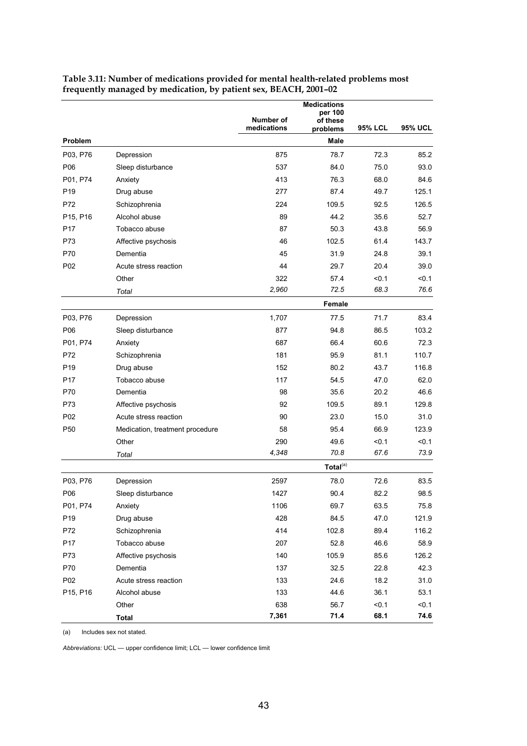|                 |                                 | Number of   | <b>Medications</b><br>per 100<br>of these |                |                |
|-----------------|---------------------------------|-------------|-------------------------------------------|----------------|----------------|
|                 |                                 | medications | problems                                  | <b>95% LCL</b> | <b>95% UCL</b> |
| Problem         |                                 |             | Male                                      |                |                |
| P03, P76        | Depression                      | 875         | 78.7                                      | 72.3           | 85.2           |
| P <sub>06</sub> | Sleep disturbance               | 537         | 84.0                                      | 75.0           | 93.0           |
| P01, P74        | Anxiety                         | 413         | 76.3                                      | 68.0           | 84.6           |
| P <sub>19</sub> | Drug abuse                      | 277         | 87.4                                      | 49.7           | 125.1          |
| P72             | Schizophrenia                   | 224         | 109.5                                     | 92.5           | 126.5          |
| P15, P16        | Alcohol abuse                   | 89          | 44.2                                      | 35.6           | 52.7           |
| P <sub>17</sub> | Tobacco abuse                   | 87          | 50.3                                      | 43.8           | 56.9           |
| P73             | Affective psychosis             | 46          | 102.5                                     | 61.4           | 143.7          |
| P70             | Dementia                        | 45          | 31.9                                      | 24.8           | 39.1           |
| P02             | Acute stress reaction           | 44          | 29.7                                      | 20.4           | 39.0           |
|                 | Other                           | 322         | 57.4                                      | < 0.1          | < 0.1          |
|                 | Total                           | 2,960       | 72.5                                      | 68.3           | 76.6           |
|                 |                                 |             | Female                                    |                |                |
| P03, P76        | Depression                      | 1,707       | 77.5                                      | 71.7           | 83.4           |
| P06             | Sleep disturbance               | 877         | 94.8                                      | 86.5           | 103.2          |
| P01, P74        | Anxiety                         | 687         | 66.4                                      | 60.6           | 72.3           |
| P72             | Schizophrenia                   | 181         | 95.9                                      | 81.1           | 110.7          |
| P <sub>19</sub> | Drug abuse                      | 152         | 80.2                                      | 43.7           | 116.8          |
| P <sub>17</sub> | Tobacco abuse                   | 117         | 54.5                                      | 47.0           | 62.0           |
| P70             | Dementia                        | 98          | 35.6                                      | 20.2           | 46.6           |
| P73             | Affective psychosis             | 92          | 109.5                                     | 89.1           | 129.8          |
| P <sub>02</sub> | Acute stress reaction           | 90          | 23.0                                      | 15.0           | 31.0           |
| P <sub>50</sub> | Medication, treatment procedure | 58          | 95.4                                      | 66.9           | 123.9          |
|                 | Other                           | 290         | 49.6                                      | < 0.1          | < 0.1          |
|                 | Total                           | 4,348       | 70.8                                      | 67.6           | 73.9           |
|                 |                                 |             | Total <sup>(a)</sup>                      |                |                |
| P03, P76        | Depression                      | 2597        | 78.0                                      | 72.6           | 83.5           |
| P06             | Sleep disturbance               | 1427        | 90.4                                      | 82.2           | 98.5           |
| P01, P74        | Anxiety                         | 1106        | 69.7                                      | 63.5           | 75.8           |
| P <sub>19</sub> | Drug abuse                      | 428         | 84.5                                      | 47.0           | 121.9          |
| P72             | Schizophrenia                   | 414         | 102.8                                     | 89.4           | 116.2          |
| P17             | Tobacco abuse                   | 207         | 52.8                                      | 46.6           | 58.9           |
| P73             | Affective psychosis             | 140         | 105.9                                     | 85.6           | 126.2          |
| P70             | Dementia                        | 137         | 32.5                                      | 22.8           | 42.3           |
| P02             | Acute stress reaction           | 133         | 24.6                                      | 18.2           | 31.0           |
| P15, P16        | Alcohol abuse                   | 133         | 44.6                                      | 36.1           | 53.1           |
|                 | Other                           | 638         | 56.7                                      | < 0.1          | < 0.1          |
|                 | <b>Total</b>                    | 7,361       | 71.4                                      | 68.1           | 74.6           |

**Table 3.11: Number of medications provided for mental health-related problems most frequently managed by medication, by patient sex, BEACH, 2001–02**

(a) Includes sex not stated.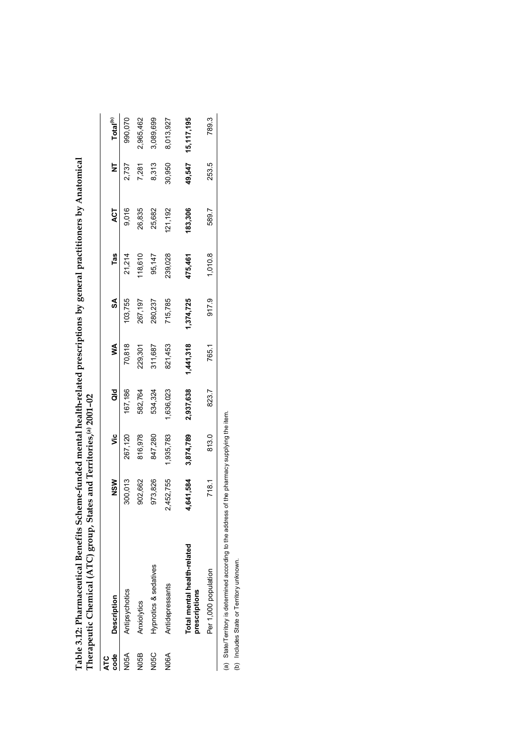|                    | Table 3.12: Pharmaceutical Benefits Scheme-funded mental health-related prescriptions by general practitioners by Anatomical<br>Therapeutic Chemical (ATC) group, States and Territories, <sup>(a)</sup> 2001-02 |            |           |           |           |           |         |         |        |                      |
|--------------------|------------------------------------------------------------------------------------------------------------------------------------------------------------------------------------------------------------------|------------|-----------|-----------|-----------|-----------|---------|---------|--------|----------------------|
| code<br><b>ATC</b> | <b>Description</b>                                                                                                                                                                                               | <b>NSM</b> | ۊ         | ā         | ⋚         | S         | Tas     | ACT     | ₹      | Total <sup>(b)</sup> |
| <b>N05A</b>        | Antipsychotics                                                                                                                                                                                                   | 300,013    | 267,120   | 67.186    | 70,818    | 03,755    | 21,214  | 9,016   | 2,737  | 990,070              |
| N05B               | Anxiolytics                                                                                                                                                                                                      | 902,662    | 816,978   | 582,764   | 229,301   | 267,197   | 118,610 | 26,835  | 7,281  | 2,965,462            |
| VOSC               | Hypnotics & sedatives                                                                                                                                                                                            | 973,826    | 847,280   | 534,324   | 311,687   | 280,237   | 95,147  | 25,682  | 8.313  | 3,089,699            |
| <b>N06A</b>        | Antidepressants                                                                                                                                                                                                  | 2.452.755  | 1,935,783 | ,636,023  | 821,453   | 715,785   | 239,028 | 121,192 | 30,950 | 8,013,927            |
|                    | Total mental health-related<br>prescriptions                                                                                                                                                                     | 641,584    | 3,874,789 | 2,937,638 | 1,441,318 | 1,374,725 | 475,461 | 183,306 | 49,547 | 15,117,195           |
|                    | Per 1,000 population                                                                                                                                                                                             | 718.1      | 813.0     | 823.7     | 765.1     | 917.9     | 1,010.8 | 589.7   | 253.5  | 789.3                |
|                    |                                                                                                                                                                                                                  |            |           |           |           |           |         |         |        |                      |

(a) State/Territory is determined according to the address of the pharmacy supplying the item.<br>(b) Includes State or Territory unknown. (a) State/Territory is determined according to the address of the pharmacy supplying the item.

(b) Includes State or Territory unknown.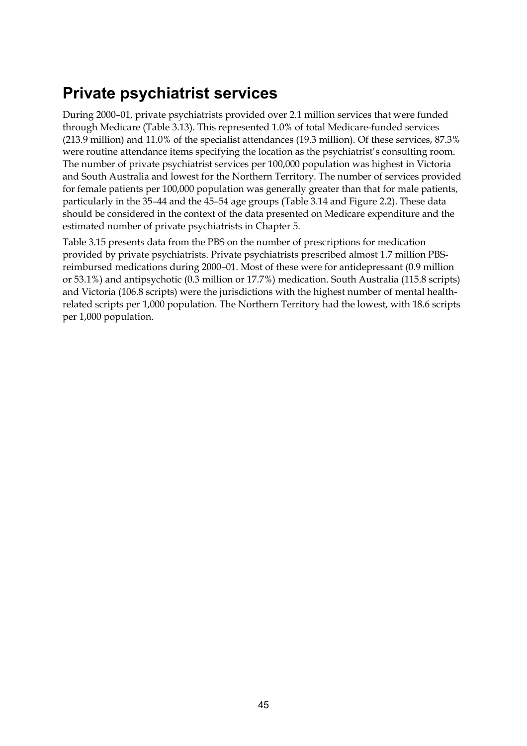# **Private psychiatrist services**

During 2000–01, private psychiatrists provided over 2.1 million services that were funded through Medicare (Table 3.13). This represented 1.0% of total Medicare-funded services (213.9 million) and 11.0% of the specialist attendances (19.3 million). Of these services, 87.3% were routine attendance items specifying the location as the psychiatrist's consulting room. The number of private psychiatrist services per 100,000 population was highest in Victoria and South Australia and lowest for the Northern Territory. The number of services provided for female patients per 100,000 population was generally greater than that for male patients, particularly in the 35–44 and the 45–54 age groups (Table 3.14 and Figure 2.2). These data should be considered in the context of the data presented on Medicare expenditure and the estimated number of private psychiatrists in Chapter 5.

Table 3.15 presents data from the PBS on the number of prescriptions for medication provided by private psychiatrists. Private psychiatrists prescribed almost 1.7 million PBSreimbursed medications during 2000–01. Most of these were for antidepressant (0.9 million or 53.1%) and antipsychotic (0.3 million or 17.7%) medication. South Australia (115.8 scripts) and Victoria (106.8 scripts) were the jurisdictions with the highest number of mental healthrelated scripts per 1,000 population. The Northern Territory had the lowest, with 18.6 scripts per 1,000 population.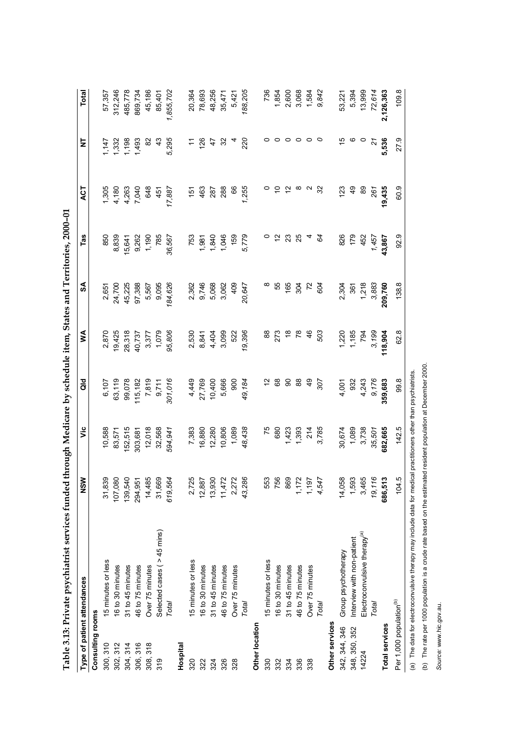|                                     | <b>Type of patient attendances</b>                                                                              | NSW                            | $\ddot{\bar{z}}$ | ă       | ≸              | SA      | Tas         | ACT               | ₹              | <b>Total</b> |
|-------------------------------------|-----------------------------------------------------------------------------------------------------------------|--------------------------------|------------------|---------|----------------|---------|-------------|-------------------|----------------|--------------|
| Consulting rooms                    |                                                                                                                 |                                |                  |         |                |         |             |                   |                |              |
| 300, 310                            | 15 minutes or less                                                                                              | 31,839                         | 10,588           | 6,107   | 2,870          | 2,651   | 850         | 1,305             | 147            | 57,357       |
| 302, 312                            | 16 to 30 minutes                                                                                                | 107,080                        | 83,571           | 63,119  | 19,425         | 24,700  | 8,839       | 4,180             | 1,332          | 312,246      |
| 304, 314                            | 31 to 45 minutes                                                                                                | 139,540                        | 152,515          | 99,078  | 28,318         | 45,225  | 15,641      | 4,263             | 1,198          | 485,778      |
| 306, 316                            | 46 to 75 minutes                                                                                                | ট্র<br>294,9                   | 303,681          | 115,182 | 40,737         | 97,388  | 9,262       | 7,040             | 1,493          | 869,734      |
| 308, 318                            | Over 75 minutes                                                                                                 | န္တ<br>14,4                    | 12,018           | 7,819   | 3,377          | 5,567   | 1,190       | 648               | 82             | 45,186       |
| 319                                 | Selected cases ( > 45 mins)                                                                                     | Gg<br>31,6                     | 32,568           | 9,711   | 1,079          | 9,095   | 785         | 451               | $\frac{3}{4}$  | 85,401       |
|                                     | Total                                                                                                           | 619,564                        | 594,941          | 301,016 | 95,806         | 184,626 | 36,567      | 17,887            | 5,295          | 1,855,702    |
| Hospital                            |                                                                                                                 |                                |                  |         |                |         |             |                   |                |              |
| 320                                 | 15 minutes or less                                                                                              | 25<br>2.7                      | 7,383            | 4,449   | 2,530          | 2,362   | 753         | ېة                |                | 20,364       |
| 322                                 | 16 to 30 minutes                                                                                                | 12,887                         | 16,880           | 27,769  | 8,841          | 9,746   | 1,981       | 463               | 126            | 78,693       |
| 324                                 | 31 to 45 minutes                                                                                                | 930<br>13,9                    | 12,280           | 10,400  | 4,404          | 5,068   | 1,840       | 287               | $\ddot{t}$     | 48,256       |
| 326                                 | 46 to 75 minutes                                                                                                | 11,472                         | 10,806           | 5,666   | 3,099          | 3,062   | 1,046       | 288               | 32             | 35,471       |
| 328                                 | Over 75 minutes                                                                                                 | 2,272                          | 1,089            | 900     | 522            | 409     | 159         | 66                | 4              | 5,421        |
|                                     | Total                                                                                                           | 43,286                         | 48,438           | 49,184  | 19,396         | 20,647  | 5,779       | 1,255             | 220            | 188,205      |
| Other location                      |                                                                                                                 |                                |                  |         |                |         |             |                   |                |              |
| 330                                 | 5 minutes or less                                                                                               | i53                            | 75               |         | 88             |         | 0           |                   | 0              | 736          |
| 332                                 | 16 to 30 minutes                                                                                                | 56                             | 680              | 89      | 273            | 55      | $\tilde{c}$ | $\tilde{c}$       | $\circ$        | 1,854        |
| 334                                 | 31 to 45 minutes                                                                                                | <b>GSI</b>                     | 1,423            | 8       | $\frac{8}{10}$ | 165     | 23          | $\frac{1}{2}$     | $\circ$        | 2,600        |
| 336                                 | 46 to 75 minutes                                                                                                | $\tilde{z}$<br>$\tilde{\cdot}$ | 1,393            | 88      | 78             | 304     | 25          | ∞                 | $\circ$        | 3,068        |
| 338                                 | Over 75 minutes                                                                                                 | 57<br>$\frac{1}{2}$            | 214              | QÞ      | 46             | 72      | 4           | $\mathbf{\Omega}$ | $\circ$        | 1,584        |
|                                     | Total                                                                                                           | 4,547                          | 3,785            | 307     | 503            | 604     | 84          | $\approx$         | $\circ$        | 9,842        |
| Other services                      |                                                                                                                 |                                |                  |         |                |         |             |                   |                |              |
| 342, 344, 346                       | Group psychotherapy                                                                                             | 58<br>14,0                     | 30,674           | 4,001   | 1,220          | 2,304   | 826         | 123               | 10             | 53,221       |
| 348, 350, 352                       | Interview with non-patient                                                                                      | 1,593                          | 1,089            | 932     | 1,185          | 361     | 179         | $\frac{6}{7}$     | ဖ              | 5,394        |
| 14224                               | Electroconvulsive therapy <sup>(a)</sup>                                                                        | 3,465                          | 3,738            | 4,243   | 794            | 1,218   | 452         | 89                | $\circ$        | 13,999       |
|                                     | Total                                                                                                           | 19,116                         | 35,501           | 9,176   | 3,199          | 3,883   | 1,457       | 261               | $\overline{z}$ | 72,614       |
| <b>Total services</b>               |                                                                                                                 | 686,513                        | 682,665          | 359,683 | 118,904        | 209,760 | 43,867      | 19,435            | 5,536          | 2,126,363    |
| Per 1,000 population <sup>(b)</sup> |                                                                                                                 | 104.5                          | 142.5            | 99.8    | 62.8           | 138.8   | 92.9        | 60.9              | 27.9           | 109.8        |
|                                     | (a) The data for electroconvulsive therapy may include data for medical practitioners other than psychiatrists. |                                |                  |         |                |         |             |                   |                |              |

Table 3.13: Private psychiatrist services funded through Medicare by schedule item. States and Territories, 2000-01 **Table 3.13: Private psychiatrist services funded through Medicare by schedule item, States and Territories, 2000–01**

(b) The rate per 1000 population is a crude rate based on the estimated resident population at December 2000. (b) The rate per 1000 population is a crude rate based on the estimated resident population at December 2000.

Source: www.hic.gov.au. *Source:* www.hic.gov.au.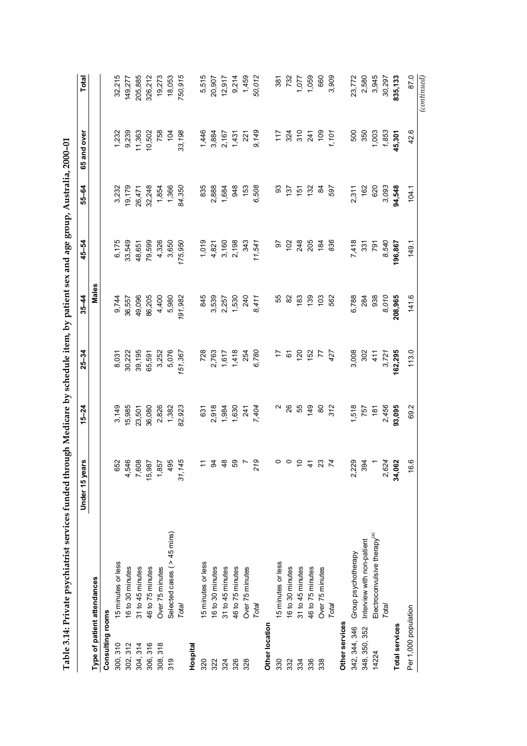|                             | Table 3.14: Private psychiatrist services funded through Medicare by schedule item, by patient sex and age group, Australia, 2000-01 |                          |           |                 |           |         |                 |                |              |
|-----------------------------|--------------------------------------------------------------------------------------------------------------------------------------|--------------------------|-----------|-----------------|-----------|---------|-----------------|----------------|--------------|
|                             |                                                                                                                                      | Under 15 years           | $15 - 24$ | $25 - 34$       | $35 - 44$ | 45-54   | 55-64           | 65 and over    | <b>Total</b> |
| Type of patient attendances |                                                                                                                                      |                          |           |                 | Males     |         |                 |                |              |
| Consulting rooms            |                                                                                                                                      |                          |           |                 |           |         |                 |                |              |
| 300, 310                    | 15 minutes or less                                                                                                                   | 652                      | 3,149     | 8,031           | 9,744     | 6,175   | 3,232           | 1,232          | 32,215       |
| 302, 312                    | 16 to 30 minutes                                                                                                                     |                          | 15,985    | 30,222          | 36,557    | 33,549  | 19,179          | 9,239          | 149,277      |
| 304, 314                    | 31 to 45 minutes                                                                                                                     | 4,546<br>7,608<br>15,987 | 23,501    | 39,195          | 49,096    | 48,651  | 26,471          | 11,363         | 205,885      |
| 306, 316                    | 46 to 75 minutes                                                                                                                     |                          | 36,080    | 65,591          | 86,205    | 79,599  | 32,248          | 10,502         | 326,212      |
| 308, 318                    | Over 75 minutes                                                                                                                      | 1,857                    | 2,826     | 3,252           | 4,400     | 4,326   | 1,854           | 758            | 19,273       |
| $\frac{9}{3}$               | Selected cases ( $>45$ mins)                                                                                                         | 495                      | 1,382     | 5,076           | 5,980     | 3,650   | 1,366           | $\overline{5}$ | 18,053       |
|                             | Total                                                                                                                                | 145<br>31.               | 82,923    | 151,367         | 191,982   | 175,950 | 84,350          | 33,198         | 750,915      |
| Hospital                    |                                                                                                                                      |                          |           |                 |           |         |                 |                |              |
| 320                         | 15 minutes or less                                                                                                                   | $\tilde{t}$              | 631       | 728             | 845       | 1,019   | 835             | 1,446          | 5,515        |
| 322                         | 16 to 30 minutes                                                                                                                     | $\mathfrak{A}$           | 2,918     | 2,763           | 3,539     | 4,821   | 2,888           | 3,884          | 20,907       |
| 324                         | 31 to 45 minutes                                                                                                                     | $\frac{8}{3}$            | 1,984     | 1,617           | 2,257     | 3,160   | 1,684           | 2,167          | 12,917       |
| 326                         | 46 to 75 minutes                                                                                                                     | 59                       | 1,630     | 1,418           | 1,530     | 2,198   | 948             | 1,431          | 9,214        |
| 328                         | Over 75 minutes                                                                                                                      |                          | 241       | 254             | 240       | 343     | 153             | 221            | 1,459        |
|                             | Total                                                                                                                                | 219                      | 7,404     | 6,780           | 8,411     | 11,541  | 6,508           | 9,149          | 50,012       |
| Other location              |                                                                                                                                      |                          |           |                 |           |         |                 |                |              |
| 330                         | 5 minutes or less                                                                                                                    |                          | Ν         |                 | 55        | 5       | සි              | $\frac{7}{1}$  | 387          |
| 332                         | 16 to 30 minutes                                                                                                                     | $\circ$                  | 26        | 67              | 82        | 102     | $\frac{137}{2}$ | 324            | 732          |
| 334                         | 31 to 45 minutes                                                                                                                     | $\tilde{c}$              | 55        | $\overline{20}$ | 183       | 248     | $\frac{15}{2}$  | 310            | 1,077        |
| 336                         | 46 to 75 minutes                                                                                                                     | $\frac{4}{5}$            | 149       | 152             | 139       | 205     | 132             | 241            | 1,059        |
| 338                         | Over 75 minutes                                                                                                                      | 23                       | 80        | 77              | 103       | 184     | æ               | 109            | 660          |
|                             | Total                                                                                                                                | $\overline{z}$           | 312       | 427             | 562       | 836     | 597             | 1,101          | 3,909        |
| Other services              |                                                                                                                                      |                          |           |                 |           |         |                 |                |              |
| 342, 344, 346               | Group psychotherapy                                                                                                                  | 2,229                    | 1,518     | 3,008           | 6,788     | 7,418   | 2,311           | 500            | 23,772       |
| 348, 350, 352               | Interview with non-patient                                                                                                           | 394                      | 757       | 302             | 284       | 331     | 162             | 350            | 2,580        |
| 14224                       | Electroconvulsive therapy <sup>(a)</sup>                                                                                             |                          | 181       | 411             | 938       | 791     | 620             | 1,003          | 3,945        |
|                             | Total                                                                                                                                | 2,624                    | 2,456     | 3,721           | 8,010     | 8,540   | 3,093           | 1,853          | 30,297       |
| <b>Total services</b>       |                                                                                                                                      | 34,062                   | 93,095    | 162,295         | 208,965   | 196,867 | 94,548          | 45,301         | 835,133      |
| Per 1,000 population        |                                                                                                                                      | 6.6                      | 69.2      | 113.0           | 141.6     | 149.1   | 104.1           | ဖ<br>42.       | 87.0         |
|                             |                                                                                                                                      |                          |           |                 |           |         |                 |                | (continued)  |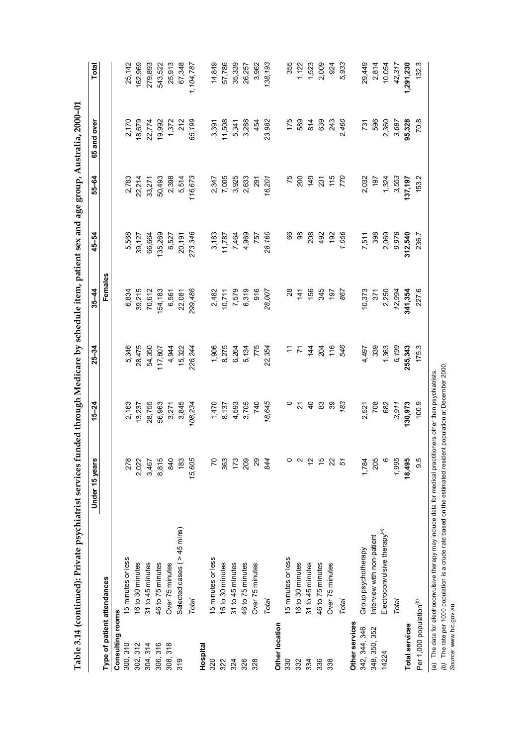|                                     |                                          | Under 15 years              | $15 - 24$      | $25 - 34$ | $35 - 44$     | 45-54         | 55-64        | 65 and over | <b>Total</b> |
|-------------------------------------|------------------------------------------|-----------------------------|----------------|-----------|---------------|---------------|--------------|-------------|--------------|
| Type of patient attendances         |                                          |                             |                |           | Females       |               |              |             |              |
| Consulting rooms                    |                                          |                             |                |           |               |               |              |             |              |
| 300, 310                            | 15 minutes or less                       | 278                         | 2,163          | 5,346     | 6,834         | 5,568         | 2,783        | 2,170       | 25,142       |
| 302, 312                            | 16 to 30 minutes                         | 2,022                       | 13,237         | 28,475    | 39,215        | 39,127        | 22,214       | 18,679      | 162,969      |
| 304, 314                            | 31 to 45 minutes                         | 3,467                       | 28,755         | 54,350    | 70,612        | 66,664        | 33,271       | 22,774      | 279,893      |
| 306, 316                            | 46 to 75 minutes                         | 8,815                       | 56,963         | 117,807   | 154,183       | 135,269       | 50,493       | 19,992      | 543,522      |
| $\frac{8}{3}$<br>308,               | Over 75 minutes                          | 840                         | 3,271          | 4,944     | 6,561         | 6,527         | 2,398        | 1,372       | 25,913       |
| 319                                 | Selected cases ( > 45 mins)              | 183                         | 3,845          | 15,322    | 22,081        | 20,191        | 5,514        | 212         | 67,348       |
|                                     | Total                                    | 15,605                      | 108,234        | 226,244   | 299,486       | 273,346       | 116,673      | 65,199      | 1,104,787    |
| Hospital                            |                                          |                             |                |           |               |               |              |             |              |
| 320                                 | 15 minutes or less                       | $\overline{C}$              | 1,470          | 1,906     | 2,482         | 3,183         | 2,347        | 3,391       | 14,849       |
| 322                                 | 16 to 30 minutes                         | 363                         | 8,137          | 8,275     | 10,711        | 11,787        | 7,005        | 11,508      | 57,786       |
| 324                                 | 31 to 45 minutes                         | 173                         | 4,593          | 6,264     | 7,579         | 7,464         | 3,925        | 5,341       | 35,339       |
| 326                                 | 46 to 75 minutes                         | 209                         | 3,705          | 5,134     | 6,319         | 4,969         | 2,633        | 3,288       | 26,257       |
| 328                                 | Over 75 minutes                          | 29                          | 740            | 775       | 916           | 757           | 291          | 454         | 3,962        |
|                                     | Total                                    | 844                         | 18,645         | 22,354    | 28,007        | 28,160        | 16,201       | 23,982      | 138,193      |
| Other location                      |                                          |                             |                |           |               |               |              |             |              |
| 330                                 | 5 minutes or less                        | $\circ$                     | 0              | Ξ         | 28            | 89            | 75           | 175         | 355          |
| 332                                 | 16 to 30 minutes                         | $\sim$                      | 21             | 7         | $\frac{4}{1}$ | $\frac{8}{2}$ | 200          | 589         | 1,122        |
| 334                                 | 31 to 45 minutes                         |                             | $\overline{a}$ | 144       | 156           | 208           | 49           | 814         | 1,523        |
| 336                                 | 46 to 75 minutes                         | $\frac{1}{6}$ $\frac{1}{6}$ | 83             | 204       | 345           | 492           | 231          | 639         | 2,009        |
| 338                                 | Over 75 minutes                          | 22                          | 39             | 116       | 197           | 192           | $rac{1}{10}$ | 243         | 924          |
|                                     | Total                                    | 51                          | 183            | 546       | 867           | 1,056         | 770          | 2,460       | 5,933        |
| Other services                      |                                          |                             |                |           |               |               |              |             |              |
| 342, 344, 346                       | Group psychotherapy                      | 1,784                       | 2,521          | 4,497     | 10,373        | 7,511         | 2,032        | 731         | 29,449       |
| 348, 350, 352                       | Interview with non-patient               | 205                         | 708            | 339       | 371           | 398           | 197          | 596         | 2,814        |
| 14224                               | Electroconvulsive therapy <sup>(a)</sup> | $\circ$                     | 682            | 1,363     | 2,250         | 2,069         | 1,324        | 2,360       | 10,054       |
|                                     | Total                                    | 1,995                       | 3,911          | 6,199     | 12,994        | 9,978         | 3,553        | 3,687       | 42,317       |
| <b>Total services</b>               |                                          | 18,495                      | 130,973        | 255,343   | 341,354       | 312,540       | 137,197      | 95,328      | 1,291,230    |
| Per 1,000 population <sup>(b)</sup> |                                          | 9.5                         | 100.9          | 175.3     | 227.6         | 236.7         | 153.2        | 70.8        | 132.3        |
|                                     |                                          |                             |                |           |               |               |              |             |              |

(a) The data for electroconvulsive therapy may include data for medical practitioners other than psychiatrists.<br>(b) The rate per 1000 population is a crude rate based on the estimated resident population at December 2000.<br> *(b)* The rate per 1000 population is a crude rate based on the estimated resident population at December 2000. (a) The data for electroconvulsive therapy may include data for medical practitioners other than psychiatrists.

*Source:* www.hic.gov.au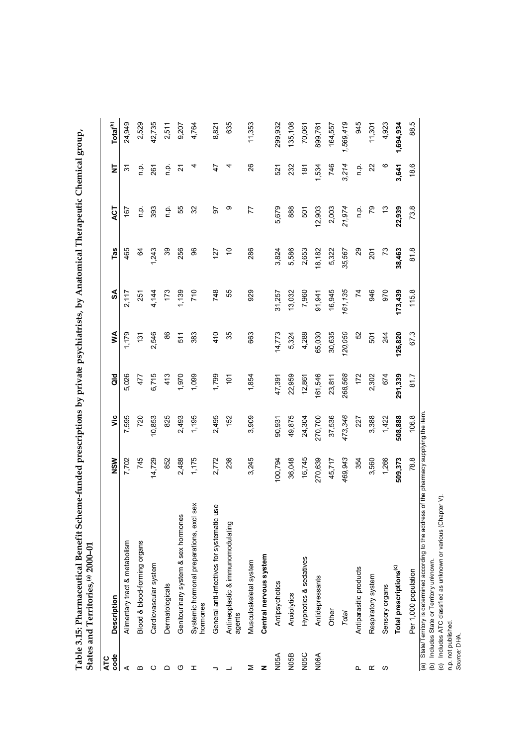| $\begin{bmatrix} 1 & 1 & 1 \\ 1 & 1 & 1 \\ 1 & 1 & 1 \end{bmatrix} \begin{bmatrix} 1 & 1 & 1 \\ 1 & 1 & 1 \\ 1 & 1 & 1 \end{bmatrix}$ |        |
|---------------------------------------------------------------------------------------------------------------------------------------|--------|
| Ï                                                                                                                                     |        |
| こうしゅうしょう きょう                                                                                                                          |        |
|                                                                                                                                       |        |
| neme-funded prescriptions by private psychiatricts. hy Anatomical Tho-<br>: :                                                         |        |
|                                                                                                                                       |        |
|                                                                                                                                       |        |
|                                                                                                                                       |        |
|                                                                                                                                       |        |
|                                                                                                                                       |        |
| was an                                                                                                                                |        |
| ţ                                                                                                                                     |        |
|                                                                                                                                       |        |
|                                                                                                                                       |        |
|                                                                                                                                       |        |
|                                                                                                                                       |        |
|                                                                                                                                       |        |
|                                                                                                                                       |        |
|                                                                                                                                       |        |
|                                                                                                                                       | י<br>ל |
| ŗ                                                                                                                                     | $\sim$ |
|                                                                                                                                       |        |
|                                                                                                                                       |        |
|                                                                                                                                       | I      |
|                                                                                                                                       | .<br>c |
| T 11 2 1 1 D 1<br>į                                                                                                                   |        |

| code<br><b>ATC</b> | <b>Description</b>                                        | NSW                                  | υïς     | as<br>G       | Š             | SA              | Tas             | ACT       | Ż          | Total <sup>(b)</sup> |
|--------------------|-----------------------------------------------------------|--------------------------------------|---------|---------------|---------------|-----------------|-----------------|-----------|------------|----------------------|
| ⋖                  | Alimentary tract & metabolism                             | 7,702                                | 7,595   | 5,026         | 1,179         | 2,117           | 465             | 167       | 92         | 24,949               |
| m                  | Blood & blood-forming organs                              | 745                                  | 720     | 477           | 131           | 251             | $\mathcal{Q}$   | ρ.<br>Γ   | n p.       | 2,529                |
| ပ                  | Cardiovascular system                                     | 14,729                               | 10,853  | 6,715         | 2,546         | 4,144           | 1,243           | 393       | 261        | 42,735               |
| ≏                  | Dermatologicals                                           | 852                                  | 825     | 413           | 86            | 173             | 39              | n.p.      | ρ.<br>Π    | 2,511                |
| ပ                  | Genitourinary system & sex hormones                       | 2,488                                | 2,493   | 1,970         | 511           | 1,139           | 256             | 55        | 2          | 9,207                |
| I                  | sex<br>Systemic hormonal preparations, excl<br>hormones   | 1,175                                | 1,195   | 1,099         | 383           | 710             | 96              | 32        |            | 4,764                |
|                    | General anti-infectives for systematic use                | 2,772                                | 2,495   | 1,799         | 410           | 748             | 127             | 50        | 47         | 8,821                |
|                    | Antineoplastic & immunomodulating<br>agents               | 236                                  | 152     | $\frac{1}{2}$ | 35            | 55              | ó               | თ         |            | 635                  |
| Σ                  | Musculoskeletal system                                    | 3,245                                | 3,909   | 1,854         | 663           | 929             | 286             | 77        | 26         | 11,353               |
| z                  | Central nervous system                                    |                                      |         |               |               |                 |                 |           |            |                      |
| N <sub>05</sub> A  | Antipsychotics                                            | 100,794                              | 90,931  | 47,391        | 14,773        | 31,257          | 3,824           | 5,679     | 521        | 299,932              |
| <b>N05B</b>        | Anxiolytics                                               | 36,048                               | 49,875  | 22,959        | 5,324         | 13,032          | 5,586           | 888       | 232        | 135,108              |
| N05C               | Hypnotics & sedatives                                     | 16,745                               | 24,304  | 12,861        | 4,288         | 7,960           | 2,653           | 501       | 181        | 70,061               |
| N <sub>06</sub> A  | Antidepressants                                           | 270,639                              | 270,700 | 161,546       | 65,030        | 91,941          | 18,182          | 12,903    | 1,534      | 899,761              |
|                    | Other                                                     | 45,717                               | 37,536  | 23,811        | 30,635        | 16,945          | 5,322           | 2,003     | 746        | 164,557              |
|                    | Total                                                     | 469,943                              | 473,346 | 268,568       | 120,050       | 161,135         | 35,567          | 21,974    | 3,214      | 1,569,419            |
| L                  | Antiparasitic products                                    | 354                                  | 227     | 172           | $\frac{5}{2}$ | $\overline{74}$ | 29              | م.<br>P   | م.<br>n    | 945                  |
| œ                  | Respiratory system                                        | 3,560                                | 3,388   | 2,302         | 501           | 946             | 201             | 79        | $\approx$  | 11,301               |
| S                  | Sensory organs                                            | 1,266                                | 1,422   | 674           | 244           | 970             | $\overline{73}$ | <u>ငိ</u> | $^{\circ}$ | 4,923                |
|                    | Total prescriptions <sup>(c)</sup>                        | 509,373                              | 508,888 | 291,339       | 126,820       | 173,439         | 38,463          | 22,939    | 3,641      | 1,694,934            |
|                    | Per 1,000 population                                      | 78.8                                 | 106.8   | 81.7          | 67.3          | 115.8           | 81.8            | 73.8      | 18.6       | 88.5                 |
|                    | (a) State/Territory is determined according to the addres | s of the pharmacy supplying the item |         |               |               |                 |                 |           |            |                      |

acy supplying the item. (a) State/Territory is determined according to the address of the pharmacy supplying the item. ess of the pr (a) State/Territory is determined according to the address of the (b) Includes State or Territory unknown.<br>(c) Includes ATC classified as unknown or various (Chapter V).<br>n.p. not published.<br>Source: DHA.

(b) Includes State or Territory unknown.

(c) Includes ATC classified as unknown or various (Chapter V).

n.p. not published.

*Source:* DHA.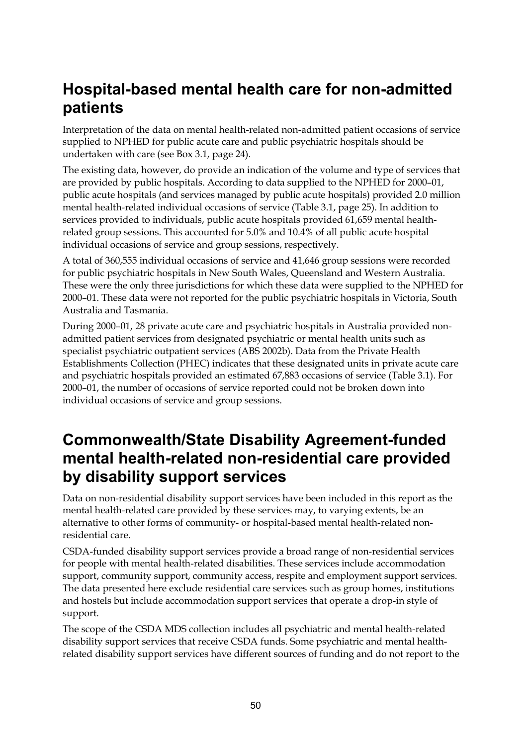# **Hospital-based mental health care for non-admitted patients**

Interpretation of the data on mental health-related non-admitted patient occasions of service supplied to NPHED for public acute care and public psychiatric hospitals should be undertaken with care (see Box 3.1, page 24).

The existing data, however, do provide an indication of the volume and type of services that are provided by public hospitals. According to data supplied to the NPHED for 2000–01, public acute hospitals (and services managed by public acute hospitals) provided 2.0 million mental health-related individual occasions of service (Table 3.1, page 25). In addition to services provided to individuals, public acute hospitals provided 61,659 mental healthrelated group sessions. This accounted for 5.0% and 10.4% of all public acute hospital individual occasions of service and group sessions, respectively.

A total of 360,555 individual occasions of service and 41,646 group sessions were recorded for public psychiatric hospitals in New South Wales, Queensland and Western Australia. These were the only three jurisdictions for which these data were supplied to the NPHED for 2000–01. These data were not reported for the public psychiatric hospitals in Victoria, South Australia and Tasmania.

During 2000–01, 28 private acute care and psychiatric hospitals in Australia provided nonadmitted patient services from designated psychiatric or mental health units such as specialist psychiatric outpatient services (ABS 2002b). Data from the Private Health Establishments Collection (PHEC) indicates that these designated units in private acute care and psychiatric hospitals provided an estimated 67,883 occasions of service (Table 3.1). For 2000–01, the number of occasions of service reported could not be broken down into individual occasions of service and group sessions.

# **Commonwealth/State Disability Agreement-funded mental health-related non-residential care provided by disability support services**

Data on non-residential disability support services have been included in this report as the mental health-related care provided by these services may, to varying extents, be an alternative to other forms of community- or hospital-based mental health-related nonresidential care.

CSDA-funded disability support services provide a broad range of non-residential services for people with mental health-related disabilities. These services include accommodation support, community support, community access, respite and employment support services. The data presented here exclude residential care services such as group homes, institutions and hostels but include accommodation support services that operate a drop-in style of support.

The scope of the CSDA MDS collection includes all psychiatric and mental health-related disability support services that receive CSDA funds. Some psychiatric and mental healthrelated disability support services have different sources of funding and do not report to the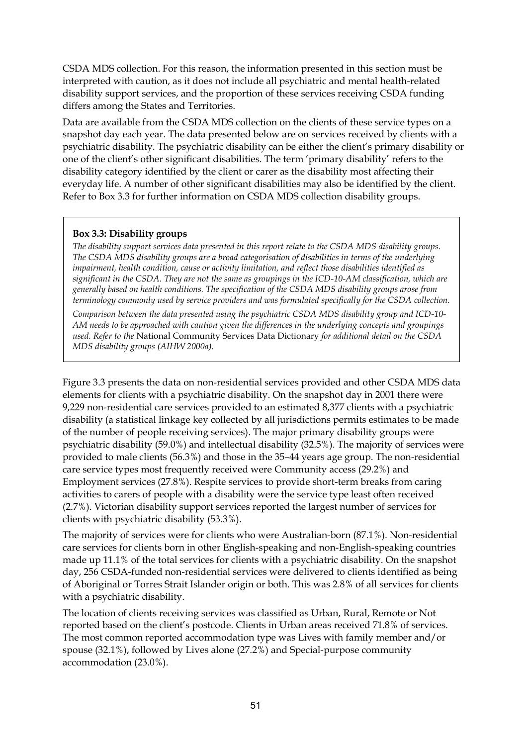CSDA MDS collection. For this reason, the information presented in this section must be interpreted with caution, as it does not include all psychiatric and mental health-related disability support services, and the proportion of these services receiving CSDA funding differs among the States and Territories.

Data are available from the CSDA MDS collection on the clients of these service types on a snapshot day each year. The data presented below are on services received by clients with a psychiatric disability. The psychiatric disability can be either the client's primary disability or one of the client's other significant disabilities. The term 'primary disability' refers to the disability category identified by the client or carer as the disability most affecting their everyday life. A number of other significant disabilities may also be identified by the client. Refer to Box 3.3 for further information on CSDA MDS collection disability groups.

#### **Box 3.3: Disability groups**

*The disability support services data presented in this report relate to the CSDA MDS disability groups. The CSDA MDS disability groups are a broad categorisation of disabilities in terms of the underlying impairment, health condition, cause or activity limitation, and reflect those disabilities identified as significant in the CSDA. They are not the same as groupings in the ICD-10-AM classification, which are generally based on health conditions. The specification of the CSDA MDS disability groups arose from terminology commonly used by service providers and was formulated specifically for the CSDA collection.*

*Comparison between the data presented using the psychiatric CSDA MDS disability group and ICD-10- AM needs to be approached with caution given the differences in the underlying concepts and groupings used. Refer to the* National Community Services Data Dictionary *for additional detail on the CSDA MDS disability groups (AIHW 2000a).*

Figure 3.3 presents the data on non-residential services provided and other CSDA MDS data elements for clients with a psychiatric disability. On the snapshot day in 2001 there were 9,229 non-residential care services provided to an estimated 8,377 clients with a psychiatric disability (a statistical linkage key collected by all jurisdictions permits estimates to be made of the number of people receiving services). The major primary disability groups were psychiatric disability (59.0%) and intellectual disability (32.5%). The majority of services were provided to male clients (56.3%) and those in the 35–44 years age group. The non-residential care service types most frequently received were Community access (29.2%) and Employment services (27.8%). Respite services to provide short-term breaks from caring activities to carers of people with a disability were the service type least often received (2.7%). Victorian disability support services reported the largest number of services for clients with psychiatric disability (53.3%).

The majority of services were for clients who were Australian-born (87.1%). Non-residential care services for clients born in other English-speaking and non-English-speaking countries made up 11.1% of the total services for clients with a psychiatric disability. On the snapshot day, 256 CSDA-funded non-residential services were delivered to clients identified as being of Aboriginal or Torres Strait Islander origin or both. This was 2.8% of all services for clients with a psychiatric disability.

The location of clients receiving services was classified as Urban, Rural, Remote or Not reported based on the client's postcode. Clients in Urban areas received 71.8% of services. The most common reported accommodation type was Lives with family member and/or spouse (32.1%), followed by Lives alone (27.2%) and Special-purpose community accommodation (23.0%).